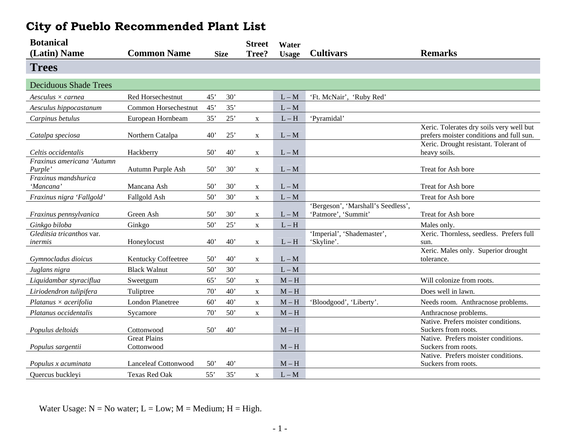| <b>Botanical</b>                      |                                   |             |     | <b>Street</b> | Water                   |                                                           |                                                                                      |
|---------------------------------------|-----------------------------------|-------------|-----|---------------|-------------------------|-----------------------------------------------------------|--------------------------------------------------------------------------------------|
| (Latin) Name                          | <b>Common Name</b>                | <b>Size</b> |     | Tree?         | <b>Usage</b>            | <b>Cultivars</b>                                          | <b>Remarks</b>                                                                       |
| <b>Trees</b>                          |                                   |             |     |               |                         |                                                           |                                                                                      |
| <b>Deciduous Shade Trees</b>          |                                   |             |     |               |                         |                                                           |                                                                                      |
| Aesculus $\times$ carnea              | Red Horsechestnut                 | 45'         | 30' |               | $L - M$                 | 'Ft. McNair', 'Ruby Red'                                  |                                                                                      |
| Aesculus hippocastanum                | Common Horsechestnut              | 45'         | 35' |               | $L - M$                 |                                                           |                                                                                      |
| Carpinus betulus                      | European Hornbeam                 | 35'         | 25' | X             | $L - H$                 | 'Pyramidal'                                               |                                                                                      |
| Catalpa speciosa                      | Northern Catalpa                  | 40'         | 25' | $\mathbf X$   | $L - M$                 |                                                           | Xeric. Tolerates dry soils very well but<br>prefers moister conditions and full sun. |
| Celtis occidentalis                   | Hackberry                         | 50'         | 40' | $\mathbf X$   | $L - M$                 |                                                           | Xeric. Drought resistant. Tolerant of<br>heavy soils.                                |
| Fraxinus americana 'Autumn<br>Purple' | Autumn Purple Ash                 | 50'         | 30' | X             | $L - M$                 |                                                           | Treat for Ash bore                                                                   |
| Fraxinus mandshurica<br>'Mancana'     | Mancana Ash                       | 50'         | 30' | X             | $L - M$                 |                                                           | Treat for Ash bore                                                                   |
| Fraxinus nigra 'Fallgold'             | Fallgold Ash                      | 50'         | 30' | X             | $L - M$                 |                                                           | Treat for Ash bore                                                                   |
| Fraxinus pennsylvanica                | Green Ash                         | 50'         | 30' | X             | $L - M$                 | 'Bergeson', 'Marshall's Seedless',<br>'Patmore', 'Summit' | Treat for Ash bore                                                                   |
| Ginkgo biloba                         | Ginkgo                            | 50'         | 25' | $\mathbf X$   | $L - H$                 |                                                           | Males only.                                                                          |
| Gleditsia tricanthos var.<br>inermis  | Honeylocust                       | 40'         | 40' | $\mathbf X$   | $L - H$                 | 'Imperial', 'Shademaster',<br>'Skyline'.                  | Xeric. Thornless, seedless. Prefers full<br>sun.                                     |
| Gymnocladus dioicus                   | Kentucky Coffeetree               | 50'         | 40' | X             | $L - M$                 |                                                           | Xeric. Males only. Superior drought<br>tolerance.                                    |
| Juglans nigra                         | <b>Black Walnut</b>               | 50'         | 30' |               | $L - M$                 |                                                           |                                                                                      |
| Liquidambar styraciflua               | Sweetgum                          | 65'         | 50' | $\mathbf X$   | $M - H$                 |                                                           | Will colonize from roots.                                                            |
| Liriodendron tulipifera               | Tuliptree                         | 70'         | 40' | X             | $M - H$                 |                                                           | Does well in lawn.                                                                   |
| $Platanus \times acerifolia$          | <b>London Planetree</b>           | 60'         | 40' | $\mathbf X$   | $\mathbf{M}-\mathbf{H}$ | 'Bloodgood', 'Liberty'.                                   | Needs room. Anthracnose problems.                                                    |
| Platanus occidentalis                 | Sycamore                          | 70'         | 50' | $\mathbf X$   | $M - H$                 |                                                           | Anthracnose problems.                                                                |
| Populus deltoids                      | Cottonwood                        | 50'         | 40' |               | $M-H$                   |                                                           | Native. Prefers moister conditions.<br>Suckers from roots.                           |
| Populus sargentii                     | <b>Great Plains</b><br>Cottonwood |             |     |               | $M - H$                 |                                                           | Native. Prefers moister conditions.<br>Suckers from roots.                           |
| Populus x acuminata                   | <b>Lanceleaf Cottonwood</b>       | 50          | 40' |               | $M-H$                   |                                                           | Native. Prefers moister conditions.<br>Suckers from roots.                           |
| Quercus buckleyi                      | <b>Texas Red Oak</b>              | 55'         | 35' | $\mathbf X$   | $L - M$                 |                                                           |                                                                                      |

## **City of Pueblo Recommended Plant List**

Water Usage:  $N = No$  water;  $L = Low$ ;  $M = Medium$ ;  $H = High$ .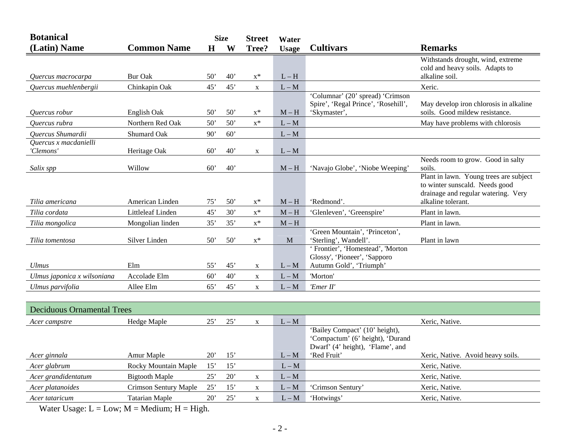| <b>Botanical</b>                   |                                   |              | <b>Size</b> | <b>Street</b>  | Water        |                                                                                              |                                                                                                                                       |
|------------------------------------|-----------------------------------|--------------|-------------|----------------|--------------|----------------------------------------------------------------------------------------------|---------------------------------------------------------------------------------------------------------------------------------------|
| (Latin) Name                       | <b>Common Name</b>                | $\bf H$      | W           | Tree?          | <b>Usage</b> | <b>Cultivars</b>                                                                             | <b>Remarks</b>                                                                                                                        |
| Quercus macrocarpa                 | <b>Bur Oak</b>                    | 50'          | 40'         | $x^*$          | $L - H$      |                                                                                              | Withstands drought, wind, extreme<br>cold and heavy soils. Adapts to<br>alkaline soil.                                                |
| Quercus muehlenbergii              | Chinkapin Oak                     | 45'          | 45'         | $\mathbf X$    | $L - M$      |                                                                                              | Xeric.                                                                                                                                |
| Ouercus robur                      | English Oak                       | $50^{\circ}$ | 50'         | $x^*$          | $M - H$      | 'Columnar' (20' spread) 'Crimson<br>Spire', 'Regal Prince', 'Rosehill',<br>'Skymaster',      | May develop iron chlorosis in alkaline<br>soils. Good mildew resistance.                                                              |
| Quercus rubra                      | Northern Red Oak                  | 50'          | 50'         | $x^*$          | $L - M$      |                                                                                              | May have problems with chlorosis                                                                                                      |
| Quercus Shumardii                  | Shumard Oak                       | 90'          | 60'         |                | $L - M$      |                                                                                              |                                                                                                                                       |
| Quercus x macdanielli<br>'Clemons' | Heritage Oak                      | 60'          | 40'         | X              | $L - M$      |                                                                                              |                                                                                                                                       |
| Salix spp                          | Willow                            | 60'          | 40'         |                | $M - H$      | 'Navajo Globe', 'Niobe Weeping'                                                              | Needs room to grow. Good in salty<br>soils.                                                                                           |
| Tilia americana                    | American Linden                   | 75'          | 50'         | $\mathbf{x}^*$ | $M-H$        | 'Redmond'.                                                                                   | Plant in lawn. Young trees are subject<br>to winter sunscald. Needs good<br>drainage and regular watering. Very<br>alkaline tolerant. |
| Tilia cordata                      | Littleleaf Linden                 | 45'          | 30'         | $x^*$          | $M-H$        | 'Glenleven', 'Greenspire'                                                                    | Plant in lawn.                                                                                                                        |
|                                    |                                   | 35'          | 35'         | $x^*$          | $M - H$      |                                                                                              | Plant in lawn.                                                                                                                        |
| Tilia mongolica<br>Tilia tomentosa | Mongolian linden<br>Silver Linden | 50'          | 50'         | $x^*$          | $\mathbf{M}$ | 'Green Mountain', 'Princeton',<br>'Sterling', Wandell'.<br>' Frontier', 'Homestead', 'Morton | Plant in lawn                                                                                                                         |
| <b>Ulmus</b>                       | Elm                               | 55'          | 45'         | X              | $L - M$      | Glossy', 'Pioneer', 'Sapporo<br>Autumn Gold', 'Triumph'                                      |                                                                                                                                       |
| Ulmus japonica x wilsoniana        | Accolade Elm                      | 60'          | 40'         | $\mathbf X$    | $L - M$      | 'Morton'                                                                                     |                                                                                                                                       |
| Ulmus parvifolia                   | Allee Elm                         | 65'          | 45'         | X              | $L - M$      | 'Emer II'                                                                                    |                                                                                                                                       |

| <b>Deciduous Ornamental Trees</b> |                       |              |              |   |         |                                                                                                        |                                   |  |  |  |  |  |
|-----------------------------------|-----------------------|--------------|--------------|---|---------|--------------------------------------------------------------------------------------------------------|-----------------------------------|--|--|--|--|--|
| Acer campstre                     | Hedge Maple           | 25'          | 25'          | X | $L - M$ |                                                                                                        | Xeric, Native.                    |  |  |  |  |  |
|                                   |                       |              |              |   |         | 'Bailey Compact' (10' height),<br>'Compactum' (6' height), 'Durand<br>Dwarf' (4' height), 'Flame', and |                                   |  |  |  |  |  |
| Acer ginnala                      | Amur Maple            | $20^{\circ}$ | 15'          |   | $L - M$ | 'Red Fruit'                                                                                            | Xeric, Native. Avoid heavy soils. |  |  |  |  |  |
| Acer glabrum                      | Rocky Mountain Maple  | 15'          | 15'          |   | $L - M$ |                                                                                                        | Xeric, Native.                    |  |  |  |  |  |
| Acer grandidentatum               | Bigtooth Maple        | $25^{\circ}$ | $20^{\circ}$ | X | $L - M$ |                                                                                                        | Xeric, Native.                    |  |  |  |  |  |
| Acer platanoides                  | Crimson Sentury Maple | 25'          | 15'          | X | $L - M$ | 'Crimson Sentury'                                                                                      | Xeric, Native.                    |  |  |  |  |  |
| Acer tataricum                    | <b>Tatarian Maple</b> | $20^{\circ}$ | $25^{\circ}$ | X | $L - M$ | 'Hotwings'                                                                                             | Xeric, Native.                    |  |  |  |  |  |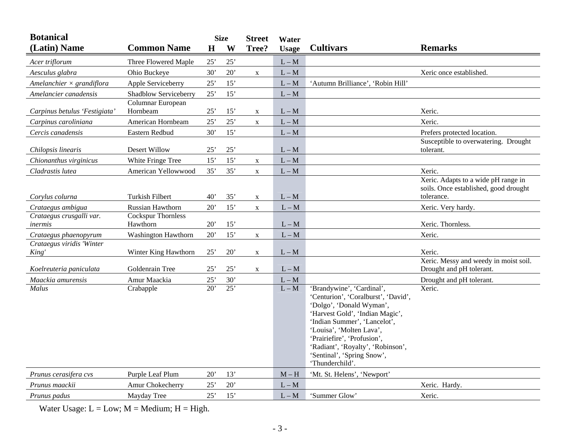| <b>Botanical</b>                    |                                       | <b>Size</b>     |     | <b>Street</b> | Water        |                                                                                                                                                                                                                                                                                                                  |                                                                                            |  |  |
|-------------------------------------|---------------------------------------|-----------------|-----|---------------|--------------|------------------------------------------------------------------------------------------------------------------------------------------------------------------------------------------------------------------------------------------------------------------------------------------------------------------|--------------------------------------------------------------------------------------------|--|--|
| (Latin) Name                        | <b>Common Name</b>                    | H               | W   | Tree?         | <b>Usage</b> | <b>Cultivars</b>                                                                                                                                                                                                                                                                                                 | <b>Remarks</b>                                                                             |  |  |
| Acer triflorum                      | Three Flowered Maple                  | 25'             | 25' |               | $L - M$      |                                                                                                                                                                                                                                                                                                                  |                                                                                            |  |  |
| Aesculus glabra                     | Ohio Buckeye                          | 30'             | 20' | $\mathbf X$   | $L - M$      |                                                                                                                                                                                                                                                                                                                  | Xeric once established.                                                                    |  |  |
| Amelanchier $\times$ grandiflora    | Apple Serviceberry                    | 25'             | 15' |               | $L - M$      | 'Autumn Brilliance', 'Robin Hill'                                                                                                                                                                                                                                                                                |                                                                                            |  |  |
| Amelancier canadensis               | Shadblow Serviceberry                 | 25'             | 15' |               | $L - M$      |                                                                                                                                                                                                                                                                                                                  |                                                                                            |  |  |
| Carpinus betulus 'Festigiata'       | Columnar European<br>Hornbeam         | 25'             | 15' | $\mathbf X$   | $L - M$      |                                                                                                                                                                                                                                                                                                                  | Xeric.                                                                                     |  |  |
| Carpinus caroliniana                | American Hornbeam                     | 25'             | 25' | $\mathbf X$   | $L - M$      |                                                                                                                                                                                                                                                                                                                  | Xeric.                                                                                     |  |  |
| Cercis canadensis                   | Eastern Redbud                        | 30'             | 15' |               | $L - M$      |                                                                                                                                                                                                                                                                                                                  | Prefers protected location.                                                                |  |  |
| Chilopsis linearis                  | <b>Desert Willow</b>                  | 25'             | 25' |               | $L - M$      |                                                                                                                                                                                                                                                                                                                  | Susceptible to overwatering. Drought<br>tolerant.                                          |  |  |
| Chionanthus virginicus              | White Fringe Tree                     | 15'             | 15' | $\mathbf X$   | $L - M$      |                                                                                                                                                                                                                                                                                                                  |                                                                                            |  |  |
| Cladrastis lutea                    | American Yellowwood                   | 35'             | 35' | $\mathbf X$   | $L - M$      |                                                                                                                                                                                                                                                                                                                  | Xeric.                                                                                     |  |  |
| Corvlus colurna                     | <b>Turkish Filbert</b>                | $40^{\circ}$    | 35' | X             | $L - M$      |                                                                                                                                                                                                                                                                                                                  | Xeric. Adapts to a wide pH range in<br>soils. Once established, good drought<br>tolerance. |  |  |
| Crataegus ambigua                   | Russian Hawthorn                      | 20'             | 15' | $\mathbf X$   | $L - M$      |                                                                                                                                                                                                                                                                                                                  | Xeric. Very hardy.                                                                         |  |  |
| Crataegus crusgalli var.<br>inermis | <b>Cockspur Thornless</b><br>Hawthorn | 20'             | 15' |               | $L - M$      |                                                                                                                                                                                                                                                                                                                  | Xeric. Thornless.                                                                          |  |  |
| Crataegus phaenopyrum               | <b>Washington Hawthorn</b>            | 20'             | 15' | $\mathbf X$   | $L - M$      |                                                                                                                                                                                                                                                                                                                  | Xeric.                                                                                     |  |  |
| Crataegus viridis 'Winter<br>King'  | Winter King Hawthorn                  | 25'             | 20' | X             | $L - M$      |                                                                                                                                                                                                                                                                                                                  | Xeric.                                                                                     |  |  |
| Koelreuteria paniculata             | Goldenrain Tree                       | 25'             | 25' | $\mathbf X$   | $L - M$      |                                                                                                                                                                                                                                                                                                                  | Xeric. Messy and weedy in moist soil.<br>Drought and pH tolerant.                          |  |  |
| Maackia amurensis                   | Amur Maackia                          | 25'             | 30' |               | $L - M$      |                                                                                                                                                                                                                                                                                                                  | Drought and pH tolerant.                                                                   |  |  |
| Malus                               | Crabapple                             | $\overline{20}$ | 25' |               | $L - M$      | 'Brandywine', 'Cardinal',<br>'Centurion', 'Coralburst', 'David',<br>'Dolgo', 'Donald Wyman',<br>'Harvest Gold', 'Indian Magic',<br>'Indian Summer', 'Lancelot',<br>'Louisa', 'Molten Lava',<br>'Prairiefire', 'Profusion',<br>'Radiant', 'Royalty', 'Robinson',<br>'Sentinal', 'Spring Snow',<br>'Thunderchild'. | Xeric.                                                                                     |  |  |
| Prunus cerasifera cvs               | Purple Leaf Plum                      | 20'             | 13' |               | $M - H$      | 'Mt. St. Helens', 'Newport'                                                                                                                                                                                                                                                                                      |                                                                                            |  |  |
| Prunus maackii                      | Amur Chokecherry                      | 25'             | 20' |               | $L - M$      |                                                                                                                                                                                                                                                                                                                  | Xeric. Hardy.                                                                              |  |  |
| Prunus padus                        | Mayday Tree                           | 25'             | 15' |               | $L - M$      | 'Summer Glow'                                                                                                                                                                                                                                                                                                    | Xeric.                                                                                     |  |  |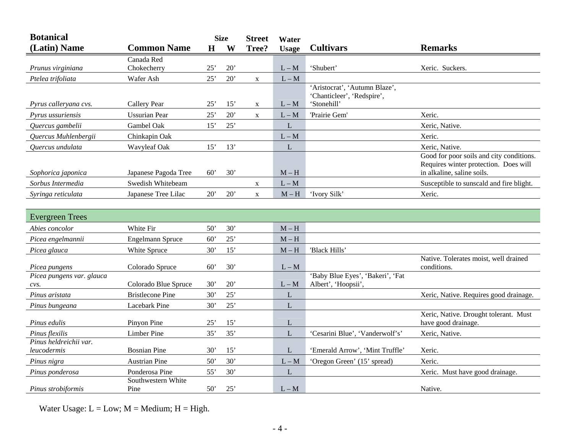| <b>Botanical</b>          |                         | <b>Size</b><br><b>Street</b> |     | Water            |              |                                                             |                                                                     |
|---------------------------|-------------------------|------------------------------|-----|------------------|--------------|-------------------------------------------------------------|---------------------------------------------------------------------|
| (Latin) Name              | <b>Common Name</b>      | $\mathbf H$                  | W   | Tree?            | <b>Usage</b> | <b>Cultivars</b>                                            | <b>Remarks</b>                                                      |
|                           | Canada Red              |                              |     |                  |              |                                                             |                                                                     |
| Prunus virginiana         | Chokecherry             | $25^{\circ}$                 | 20' |                  | $L - M$      | 'Shubert'                                                   | Xeric. Suckers.                                                     |
| Ptelea trifoliata         | Wafer Ash               | 25'                          | 20' | $\mathbf X$      | $L - M$      |                                                             |                                                                     |
|                           |                         |                              |     |                  |              | 'Aristocrat', 'Autumn Blaze',<br>'Chanticleer', 'Redspire', |                                                                     |
| Pyrus calleryana cvs.     | <b>Callery Pear</b>     | 25'                          | 15' | $\mathbf X$      | $L - M$      | 'Stonehill'                                                 |                                                                     |
| Pyrus ussuriensis         | <b>Ussurian Pear</b>    | 25'                          | 20' | $\mathbf X$      | $L - M$      | 'Prairie Gem'                                               | Xeric.                                                              |
| Quercus gambelii          | Gambel Oak              | 15'                          | 25' |                  | L            |                                                             | Xeric, Native.                                                      |
| Quercus Muhlenbergii      | Chinkapin Oak           |                              |     |                  | $L - M$      |                                                             | Xeric.                                                              |
| Quercus undulata          | Wavyleaf Oak            | 15'                          | 13' |                  | L            |                                                             | Xeric, Native.                                                      |
|                           |                         |                              |     |                  |              |                                                             | Good for poor soils and city conditions.                            |
| Sophorica japonica        | Japanese Pagoda Tree    | 60'                          | 30' |                  | $M - H$      |                                                             | Requires winter protection. Does will<br>in alkaline, saline soils. |
| Sorbus Intermedia         | Swedish Whitebeam       |                              |     |                  | $L - M$      |                                                             | Susceptible to sunscald and fire blight.                            |
| Syringa reticulata        | Japanese Tree Lilac     | 20'                          | 20' | X<br>$\mathbf X$ | $M - H$      | 'Ivory Silk'                                                | Xeric.                                                              |
|                           |                         |                              |     |                  |              |                                                             |                                                                     |
|                           |                         |                              |     |                  |              |                                                             |                                                                     |
| <b>Evergreen Trees</b>    |                         |                              |     |                  |              |                                                             |                                                                     |
| Abies concolor            | White Fir               | 50'                          | 30' |                  | $M - H$      |                                                             |                                                                     |
| Picea engelmannii         | Engelmann Spruce        | 60'                          | 25' |                  | $M - H$      |                                                             |                                                                     |
| Picea glauca              | White Spruce            | 30'                          | 15' |                  | $M - H$      | 'Black Hills'                                               | Native. Tolerates moist, well drained                               |
| Picea pungens             | Colorado Spruce         | 60'                          | 30' |                  | $L - M$      |                                                             | conditions.                                                         |
| Picea pungens var. glauca |                         |                              |     |                  |              | 'Baby Blue Eyes', 'Bakeri', 'Fat                            |                                                                     |
| cvs.                      | Colorado Blue Spruce    | 30'                          | 20' |                  | $L - M$      | Albert', 'Hoopsii',                                         |                                                                     |
| Pinus aristata            | <b>Bristlecone Pine</b> | 30'                          | 25' |                  | $\mathbf L$  |                                                             | Xeric, Native. Requires good drainage.                              |
| Pinus bungeana            | Lacebark Pine           | 30'                          | 25' |                  | L            |                                                             |                                                                     |
| Pinus edulis              | Pinyon Pine             | 25'                          | 15' |                  | L            |                                                             | Xeric, Native. Drought tolerant. Must<br>have good drainage.        |
| Pinus flexilis            | Limber Pine             | 35'                          | 35' |                  | $\mathbf L$  | 'Cesarini Blue', 'Vanderwolf's'                             | Xeric, Native.                                                      |
| Pinus heldreichii var.    |                         |                              |     |                  |              |                                                             |                                                                     |
| leucodermis               | <b>Bosnian Pine</b>     | 30'                          | 15' |                  | L            | 'Emerald Arrow', 'Mint Truffle'                             | Xeric.                                                              |
| Pinus nigra               | <b>Austrian Pine</b>    | 50'                          | 30' |                  | $L - M$      | 'Oregon Green' (15' spread)                                 | Xeric.                                                              |
| Pinus ponderosa           | Ponderosa Pine          | 55'                          | 30' |                  | $\mathbf L$  |                                                             | Xeric. Must have good drainage.                                     |
|                           | Southwestern White      |                              |     |                  |              |                                                             |                                                                     |
| Pinus strobiformis        | Pine                    | 50'                          | 25' |                  | $L - M$      |                                                             | Native.                                                             |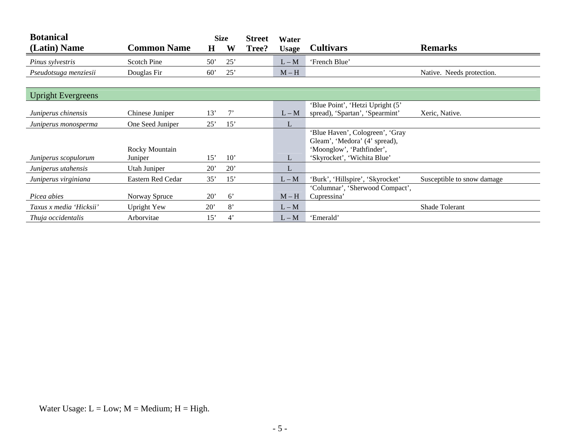| <b>Botanical</b>          |                    |              | <b>Size</b> | <b>Street</b> | Water        |                                  |                            |
|---------------------------|--------------------|--------------|-------------|---------------|--------------|----------------------------------|----------------------------|
| (Latin) Name              | <b>Common Name</b> | $\bf H$      | W           | Tree?         | <b>Usage</b> | <b>Cultivars</b>                 | <b>Remarks</b>             |
| Pinus sylvestris          | <b>Scotch Pine</b> | 50'          | 25'         |               | $L - M$      | 'French Blue'                    |                            |
| Pseudotsuga menziesii     | Douglas Fir        | 60'          | 25'         |               | $M-H$        |                                  | Native. Needs protection.  |
|                           |                    |              |             |               |              |                                  |                            |
| <b>Upright Evergreens</b> |                    |              |             |               |              |                                  |                            |
|                           |                    |              |             |               |              | 'Blue Point', 'Hetzi Upright (5' |                            |
| Juniperus chinensis       | Chinese Juniper    | 13'          | $7^,$       |               | $L - M$      | spread), 'Spartan', 'Spearmint'  | Xeric, Native.             |
| Juniperus monosperma      | One Seed Juniper   | 25'          | 15'         |               | L            |                                  |                            |
|                           |                    |              |             |               |              | 'Blue Haven', Cologreen', 'Gray  |                            |
|                           |                    |              |             |               |              | Gleam', 'Medora' (4' spread),    |                            |
|                           | Rocky Mountain     |              |             |               |              | 'Moonglow', 'Pathfinder',        |                            |
| Juniperus scopulorum      | Juniper            | 15'          | 10'         |               | L            | 'Skyrocket', 'Wichita Blue'      |                            |
| Juniperus utahensis       | Utah Juniper       | $20^{\circ}$ | 20'         |               | L            |                                  |                            |
| Juniperus virginiana      | Eastern Red Cedar  | 35'          | 15'         |               | $L - M$      | 'Burk', 'Hillspire', 'Skyrocket' | Susceptible to snow damage |
|                           |                    |              |             |               |              | 'Columnar', 'Sherwood Compact',  |                            |
| Picea abies               | Norway Spruce      | $20^{\circ}$ | $6^{\circ}$ |               | $M-H$        | Cupressina'                      |                            |
| Taxus x media 'Hicksii'   | Upright Yew        | 20'          | 8'          |               | $L - M$      |                                  | Shade Tolerant             |
| Thuia occidentalis        | Arborvitae         | 15'          | $4^{\circ}$ |               | $L - M$      | 'Emerald'                        |                            |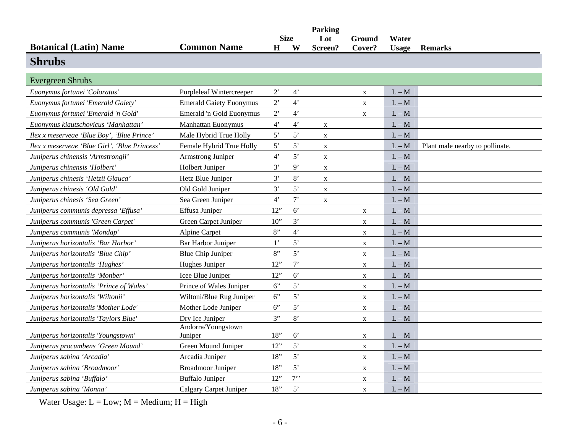|                                               |                                |                | <b>Size</b>    | Parking<br>Lot | Ground      | Water        |                                 |
|-----------------------------------------------|--------------------------------|----------------|----------------|----------------|-------------|--------------|---------------------------------|
| <b>Botanical (Latin) Name</b>                 | <b>Common Name</b>             | H              | W              | Screen?        | Cover?      | <b>Usage</b> | <b>Remarks</b>                  |
| <b>Shrubs</b>                                 |                                |                |                |                |             |              |                                 |
| <b>Evergreen Shrubs</b>                       |                                |                |                |                |             |              |                                 |
| Euonymus fortunei 'Coloratus'                 | Purpleleaf Wintercreeper       | $2^{\circ}$    | $4^{\circ}$    |                | X           | $L - M$      |                                 |
| Euonymus fortunei 'Emerald Gaiety'            | <b>Emerald Gaiety Euonymus</b> | 2              | 4'             |                | $\mathbf X$ | $L - M$      |                                 |
| Euonymus fortunei 'Emerald 'n Gold'           | Emerald 'n Gold Euonymus       | $2^{\circ}$    | 4 <sup>2</sup> |                | X           | $L - M$      |                                 |
| Euonymus kiautschovicus 'Manhattan'           | <b>Manhattan Euonymus</b>      | 4 <sup>7</sup> | $4^"$          | $\mathbf{X}$   |             | $L - M$      |                                 |
| Ilex x meserveae 'Blue Boy', 'Blue Prince'    | Male Hybrid True Holly         | 5'             | 5'             | $\mathbf X$    |             | $L - M$      |                                 |
| Ilex x meserveae 'Blue Girl', 'Blue Princess' | Female Hybrid True Holly       | 5'             | 5'             | $\mathbf X$    |             | $L - M$      | Plant male nearby to pollinate. |
| Juniperus chinensis 'Armstrongii'             | Armstrong Juniper              | 4'             | 5'             | $\mathbf X$    |             | $L - M$      |                                 |
| Juniperus chinensis 'Holbert'                 | Holbert Juniper                | 3'             | 9'             | $\mathbf X$    |             | $L - M$      |                                 |
| Juniperus chinesis 'Hetzii Glauca'            | Hetz Blue Juniper              | 3'             | 8'             | $\mathbf X$    |             | $L - M$      |                                 |
| Juniperus chinesis 'Old Gold'                 | Old Gold Juniper               | 3'             | 5'             | $\mathbf X$    |             | $L - M$      |                                 |
| Juniperus chinesis 'Sea Green'                | Sea Green Juniper              | 4 <sup>2</sup> | $7$ '          | X              |             | $L - M$      |                                 |
| Juniperus communis depressa 'Effusa'          | Effusa Juniper                 | 12"            | $6^{\circ}$    |                | X           | $L - M$      |                                 |
| Juniperus communis 'Green Carpet'             | Green Carpet Juniper           | 10"            | 3'             |                | $\mathbf X$ | $L - M$      |                                 |
| Juniperus communis 'Mondap'                   | Alpine Carpet                  | 8"             | 4'             |                | $\mathbf X$ | $L - M$      |                                 |
| Juniperus horizontalis 'Bar Harbor'           | Bar Harbor Juniper             | $1$ '          | 5'             |                | X           | $L - M$      |                                 |
| Juniperus horizontalis 'Blue Chip'            | <b>Blue Chip Juniper</b>       | 8"             | 5'             |                | $\mathbf X$ | $L - M$      |                                 |
| Juniperus horizontalis 'Hughes'               | Hughes Juniper                 | 12"            | $7$ '          |                | $\mathbf X$ | $L - M$      |                                 |
| Juniperus horizontalis 'Monber'               | Icee Blue Juniper              | 12"            | $6^{\circ}$    |                | $\mathbf X$ | $L - M$      |                                 |
| Juniperus horizontalis 'Prince of Wales'      | Prince of Wales Juniper        | $6$ "          | 5'             |                | $\mathbf X$ | $L - M$      |                                 |
| Juniperus horizontalis 'Wiltonii'             | Wiltoni/Blue Rug Juniper       | 6"             | 5'             |                | $\mathbf X$ | $L - M$      |                                 |
| Juniperus horizontalis 'Mother Lode'          | Mother Lode Juniper            | 6"             | 5'             |                | $\mathbf X$ | $L - M$      |                                 |
| Juniperus horizontalis 'Taylors Blue'         | Dry Ice Juniper                | 3"             | 8'             |                | $\mathbf X$ | $L - M$      |                                 |
| Juniperus horizontalis 'Youngstown'           | Andorra/Youngstown<br>Juniper  | 18"            | $6^{\circ}$    |                | X           | $L - M$      |                                 |
| Juniperus procumbens 'Green Mound'            | Green Mound Juniper            | 12"            | 5'             |                | $\mathbf X$ | $L - M$      |                                 |
| Juniperus sabina 'Arcadia'                    | Arcadia Juniper                | 18"            | 5'             |                | X           | $L - M$      |                                 |
| Juniperus sabina 'Broadmoor'                  | <b>Broadmoor Juniper</b>       | 18"            | 5'             |                | X           | $L - M$      |                                 |
| Juniperus sabina 'Buffalo'                    | <b>Buffalo Juniper</b>         | 12"            | 7              |                | $\mathbf X$ | $L - M$      |                                 |
| Juniperus sabina 'Monna'                      | Calgary Carpet Juniper         | 18"            | 5'             |                | $\mathbf X$ | $L - M$      |                                 |
|                                               |                                |                |                |                |             |              |                                 |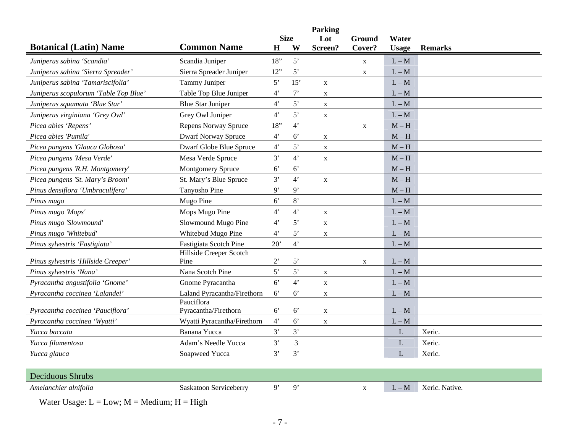|                                       |                                    |                  | <b>Size</b>    | Parking<br>Lot | Ground       | Water        |                |
|---------------------------------------|------------------------------------|------------------|----------------|----------------|--------------|--------------|----------------|
| <b>Botanical (Latin) Name</b>         | <b>Common Name</b>                 | $\mathbf H$      | W              | Screen?        | Cover?       | <b>Usage</b> | <b>Remarks</b> |
| Juniperus sabina 'Scandia'            | Scandia Juniper                    | 18"              | 5'             |                | $\mathbf{X}$ | $L - M$      |                |
| Juniperus sabina 'Sierra Spreader'    | Sierra Spreader Juniper            | 12"              | 5'             |                | $\mathbf x$  | $L - M$      |                |
| Juniperus sabina 'Tamariscifolia'     | Tammy Juniper                      | 5'               | 15'            | $\mathbf X$    |              | $L - M$      |                |
| Juniperus scopulorum 'Table Top Blue' | Table Top Blue Juniper             | $4^{\circ}$      | $7^{\circ}$    | $\mathbf X$    |              | $L - M$      |                |
| Juniperus squamata 'Blue Star'        | <b>Blue Star Juniper</b>           | $4^{\circ}$      | 5'             | X              |              | $L - M$      |                |
| Juniperus virginiana 'Grey Owl'       | Grey Owl Juniper                   | 4'               | 5'             | $\mathbf X$    |              | $L - M$      |                |
| Picea abies 'Repens'                  | <b>Repens Norway Spruce</b>        | 18"              | $4^"$          |                | X            | $M - H$      |                |
| Picea abies 'Pumila'                  | <b>Dwarf Norway Spruce</b>         | $4^{\circ}$      | $6^{\circ}$    | $\mathbf X$    |              | $M - H$      |                |
| Picea pungens 'Glauca Globosa'        | Dwarf Globe Blue Spruce            | 4 <sup>2</sup>   | $5^{\circ}$    | $\mathbf X$    |              | $M - H$      |                |
| Picea pungens 'Mesa Verde'            | Mesa Verde Spruce                  | 3'               | $4^"$          | $\mathbf X$    |              | $M - H$      |                |
| Picea pungens 'R.H. Montgomery'       | <b>Montgomery Spruce</b>           | $6^{\circ}$      | 6 <sup>o</sup> |                |              | $M-H$        |                |
| Picea pungens 'St. Mary's Broom'      | St. Mary's Blue Spruce             | 3'               | $4^{\circ}$    | $\mathbf X$    |              | $M - H$      |                |
| Pinus densiflora 'Umbraculifera'      | Tanyosho Pine                      | 9'               | 9'             |                |              | $M-H$        |                |
| Pinus mugo                            | Mugo Pine                          | $6^{\circ}$      | $8'$           |                |              | $L - M$      |                |
| Pinus mugo 'Mops'                     | Mops Mugo Pine                     | $4^{\circ}$      | $4^{\circ}$    | $\mathbf X$    |              | $L - M$      |                |
| Pinus mugo 'Slowmound'                | Slowmound Mugo Pine                | $4^{\circ}$      | 5'             | $\mathbf X$    |              | $L - M$      |                |
| Pinus mugo 'Whitebud'                 | Whitebud Mugo Pine                 | $4^{\circ}$      | 5'             | X              |              | $L - M$      |                |
| Pinus sylvestris 'Fastigiata'         | Fastigiata Scotch Pine             | 20'              | $4^"$          |                |              | $L - M$      |                |
| Pinus sylvestris 'Hillside Creeper'   | Hillside Creeper Scotch<br>Pine    | $2$ <sup>'</sup> | 5'             |                | $\mathbf X$  | $L - M$      |                |
| Pinus sylvestris 'Nana'               | Nana Scotch Pine                   | 5'               | $5'$           | $\mathbf X$    |              | $L - M$      |                |
| Pyracantha angustifolia 'Gnome'       | Gnome Pyracantha                   | $6^{\circ}$      | $4^"$          | $\mathbf X$    |              | $L - M$      |                |
| Pyracantha coccinea 'Lalandei'        | Laland Pyracantha/Firethorn        | 6 <sup>7</sup>   | $6^{\circ}$    | $\mathbf X$    |              | $L - M$      |                |
| Pyracantha coccinea 'Pauciflora'      | Pauciflora<br>Pyracantha/Firethorn | $6^{\circ}$      | $6^{\circ}$    | $\mathbf X$    |              | $L - M$      |                |
| Pyracantha coccinea 'Wyatti'          | Wyatti Pyracantha/Firethorn        | 4'               | 6 <sup>o</sup> | X              |              | $L - M$      |                |
| Yucca baccata                         | Banana Yucca                       | 3'               | 3'             |                |              | L            | Xeric.         |
| Yucca filamentosa                     | Adam's Needle Yucca                | 3'               | 3              |                |              | L            | Xeric.         |
| Yucca glauca                          | Soapweed Yucca                     | 3'               | 3'             |                |              | L            | Xeric.         |
|                                       |                                    |                  |                |                |              |              |                |
| <b>Deciduous Shrubs</b>               |                                    |                  |                |                |              |              |                |
| Amelanchier alnifolia                 | Saskatoon Serviceberry             | 9'               | 9'             |                | $\mathbf{X}$ | $L - M$      | Xeric. Native. |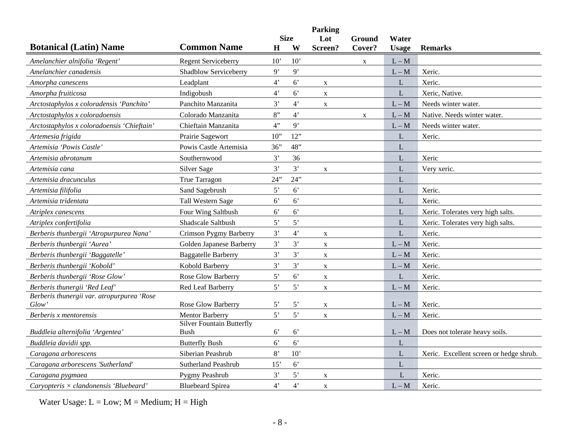|                                               |                                                            |                |                | <b>Parking</b> |             |              |                                         |
|-----------------------------------------------|------------------------------------------------------------|----------------|----------------|----------------|-------------|--------------|-----------------------------------------|
|                                               |                                                            |                | <b>Size</b>    | Lot            | Ground      | Water        |                                         |
| <b>Botanical (Latin) Name</b>                 | <b>Common Name</b>                                         | H              | W              | Screen?        | Cover?      | <b>Usage</b> | <b>Remarks</b>                          |
| Amelanchier alnifolia 'Regent'                | <b>Regent Serviceberry</b>                                 | 10'            | 10'            |                | X           | $L - M$      |                                         |
| Amelanchier canadensis                        | Shadblow Serviceberry                                      | 9'             | 9'             |                |             | $L - M$      | Xeric.                                  |
| Amorpha canescens                             | Leadplant                                                  | $4^{\circ}$    | $6^{\circ}$    | $\mathbf X$    |             | L            | Xeric.                                  |
| Amorpha fruiticosa                            | Indigobush                                                 | $4^"$          | 6'             | $\mathbf X$    |             | L            | Xeric, Native.                          |
| Arctostaphylos x coloradensis 'Panchito'      | Panchito Manzanita                                         | 3'             | $4^{\circ}$    | $\mathbf X$    |             | $L - M$      | Needs winter water.                     |
| Arctostaphylos x coloradoensis                | Colorado Manzanita                                         | 8"             | 4'             |                | $\mathbf X$ | $L - M$      | Native. Needs winter water.             |
| Arctostaphylos x coloradoensis 'Chieftain'    | Chieftain Manzanita                                        | 4"             | 9'             |                |             | $L - M$      | Needs winter water.                     |
| Artemesia frigida                             | Prairie Sagewort                                           | $10$ "         | 12"            |                |             | L            | Xeric.                                  |
| Artemisia 'Powis Castle'                      | Powis Castle Artemisia                                     | 36"            | 48"            |                |             | L            |                                         |
| Artemisia abrotanum                           | Southernwood                                               | 3'             | 36             |                |             | L            | Xeric                                   |
| Artemisia cana                                | Silver Sage                                                | 3'             | 3'             | X              |             | ${\bf L}$    | Very xeric.                             |
| Artemisia dracunculus                         | True Tarragon                                              | 24"            | 24"            |                |             | L            |                                         |
| Artemisia filifolia                           | Sand Sagebrush                                             | 5'             | 6'             |                |             | L            | Xeric.                                  |
| Artemisia tridentata                          | Tall Western Sage                                          | 6 <sup>o</sup> | $6^{\circ}$    |                |             | $\mathbf L$  | Xeric.                                  |
| Atriplex canescens                            | Four Wing Saltbush                                         | 6 <sup>o</sup> | $6^{\circ}$    |                |             | L            | Xeric. Tolerates very high salts.       |
| Atriplex confertifolia                        | Shadscale Saltbush                                         | 5'             | 5'             |                |             | L            | Xeric. Tolerates very high salts.       |
| Berberis thunbergii 'Atropurpurea Nana'       | Crimson Pygmy Barberry                                     | 3'             | $4^"$          | X              |             | L            | Xeric.                                  |
| Berberis thunbergii 'Aurea'                   | Golden Japanese Barberry                                   | 3'             | 3'             | $\mathbf X$    |             | $L - M$      | Xeric.                                  |
| Berberis thunbergii 'Baggatelle'              | <b>Baggatelle Barberry</b>                                 | 3'             | 3'             | $\mathbf X$    |             | $L - M$      | Xeric.                                  |
| Berberis thunbergii 'Kobold'                  | Kobold Barberry                                            | 3'             | 3'             | $\mathbf X$    |             | $L - M$      | Xeric.                                  |
| Berberis thunbergii 'Rose Glow'               | Rose Glow Barberry                                         | 5'             | $6^{\circ}$    | X              |             | L            | Xeric.                                  |
| Berberis thunergii 'Red Leaf'                 | Red Leaf Barberry                                          | 5'             | 5'             | $\mathbf X$    |             | $L - M$      | Xeric.                                  |
| Berberis thunergii var. atropurpurea 'Rose    |                                                            |                |                |                |             |              |                                         |
| $Glow^*$                                      | Rose Glow Barberry                                         | 5'             | $5^{\circ}$    | $\mathbf X$    |             | $L - M$      | Xeric.                                  |
| Berberis x mentorensis                        | <b>Mentor Barberry</b><br><b>Silver Fountain Butterfly</b> | 5'             | 5'             | $\mathbf X$    |             | $L - M$      | Xeric.                                  |
| Buddleia alternifolia 'Argentea'              | Bush                                                       | $6^{\circ}$    | $6^{\circ}$    |                |             | $L - M$      | Does not tolerate heavy soils.          |
| Buddleia davidii spp.                         | <b>Butterfly Bush</b>                                      | $6^{\circ}$    | 6'             |                |             | L            |                                         |
| Caragana arborescens                          | Siberian Peashrub                                          | 8'             | 10'            |                |             | $\mathbf L$  | Xeric. Excellent screen or hedge shrub. |
| Caragana arborescens 'Sutherland'             | Sutherland Peashrub                                        | 15'            | $6^{\circ}$    |                |             | L            |                                         |
| Caragana pygmaea                              | Pygmy Peashrub                                             | 3'             | 5'             | $\mathbf X$    |             | L            | Xeric.                                  |
| Caryopteris $\times$ clandonensis 'Bluebeard' | <b>Bluebeard Spirea</b>                                    | $4^{\circ}$    | 4 <sup>2</sup> | $\mathbf X$    |             | $L - M$      | Xeric.                                  |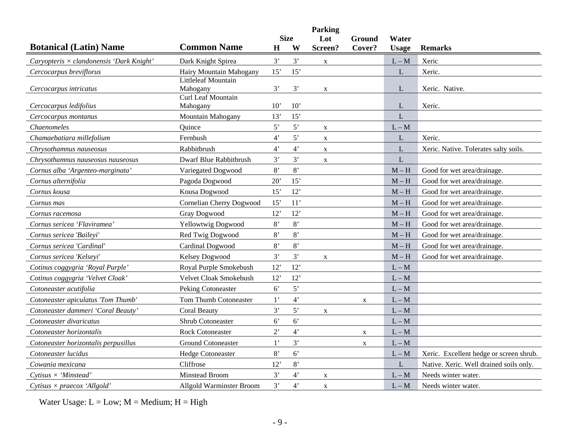|                                                 |                                       |                  | <b>Parking</b><br><b>Size</b> |                |                  |                       |                                         |
|-------------------------------------------------|---------------------------------------|------------------|-------------------------------|----------------|------------------|-----------------------|-----------------------------------------|
| <b>Botanical (Latin) Name</b>                   | <b>Common Name</b>                    | H                | W                             | Lot<br>Screen? | Ground<br>Cover? | Water<br><b>Usage</b> | <b>Remarks</b>                          |
| Caryopteris $\times$ clandonensis 'Dark Knight' | Dark Knight Spirea                    | 3'               | 3'                            | $\mathbf X$    |                  | $L - M$               | Xeric                                   |
| Cercocarpus breviflorus                         | Hairy Mountain Mahogany               | 15'              | 15'                           |                |                  | L                     | Xeric.                                  |
| Cercocarpus intricatus                          | Littleleaf Mountain<br>Mahogany       | 3'               | 3'                            | $\mathbf X$    |                  | L                     | Xeric. Native.                          |
| Cercocarpus ledifolius                          | <b>Curl Leaf Mountain</b><br>Mahogany | 10'              | 10'                           |                |                  | L                     | Xeric.                                  |
| Cercocarpus montanus                            | Mountain Mahogany                     | 13'              | 15'                           |                |                  | L                     |                                         |
| Chaenomeles                                     | Quince                                | 5'               | 5'                            | $\mathbf X$    |                  | $L - M$               |                                         |
| Chamaebatiara millefolium                       | Fernbush                              | $4^"$            | 5'                            | $\mathbf X$    |                  | L                     | Xeric.                                  |
| Chrysothamnus nauseosus                         | Rabbitbrush                           | $4^"$            | $4^{\circ}$                   | $\mathbf X$    |                  | L                     | Xeric. Native. Tolerates salty soils.   |
| Chrysothamnus nauseosus nauseosus               | Dwarf Blue Rabbitbrush                | 3'               | 3'                            | $\mathbf X$    |                  | L                     |                                         |
| Cornus alba 'Argenteo-marginata'                | Variegated Dogwood                    | 8'               | $8'$                          |                |                  | $M - H$               | Good for wet area/drainage.             |
| Cornus alternifolia                             | Pagoda Dogwood                        | 20'              | 15'                           |                |                  | $M-H$                 | Good for wet area/drainage.             |
| Cornus kousa                                    | Kousa Dogwood                         | 15'              | 12'                           |                |                  | $M - H$               | Good for wet area/drainage.             |
| Cornus mas                                      | Cornelian Cherry Dogwood              | 15'              | 11'                           |                |                  | $M - H$               | Good for wet area/drainage.             |
| Cornus racemosa                                 | <b>Gray Dogwood</b>                   | 12'              | 12'                           |                |                  | $M - H$               | Good for wet area/drainage.             |
| Cornus sericea 'Flaviramea'                     | Yellowtwig Dogwood                    | 8'               | $8^\circ$                     |                |                  | $M - H$               | Good for wet area/drainage.             |
| Cornus sericea 'Baileyi'                        | Red Twig Dogwood                      | 8'               | $8'$                          |                |                  | $M - H$               | Good for wet area/drainage.             |
| Cornus sericea 'Cardinal'                       | Cardinal Dogwood                      | 8'               | 8'                            |                |                  | $M - H$               | Good for wet area/drainage.             |
| Cornus sericea 'Kelsevi'                        | Kelsey Dogwood                        | 3'               | 3'                            | $\mathbf X$    |                  | $M - H$               | Good for wet area/drainage.             |
| Cotinus coggygria 'Royal Purple'                | Royal Purple Smokebush                | 12'              | 12'                           |                |                  | $L - M$               |                                         |
| Cotinus coggygria 'Velvet Cloak'                | Velvet Cloak Smokebush                | 12'              | 12'                           |                |                  | $L - M$               |                                         |
| Cotoneaster acutifolia                          | Peking Cotoneaster                    | 6 <sup>7</sup>   | 5'                            |                |                  | $L - M$               |                                         |
| Cotoneaster apiculatus 'Tom Thumb'              | Tom Thumb Cotoneaster                 | $1^{\prime}$     | $4^{\circ}$                   |                | $\mathbf X$      | $L - M$               |                                         |
| Cotoneaster dammeri 'Coral Beauty'              | <b>Coral Beauty</b>                   | 3'               | 5'                            | $\mathbf X$    |                  | $L - M$               |                                         |
| Cotoneaster divaricatus                         | Shrub Cotoneaster                     | 6 <sup>o</sup>   | 6 <sup>o</sup>                |                |                  | $L - M$               |                                         |
| Cotoneaster horizontalis                        | <b>Rock Cotoneaster</b>               | $2$ <sup>'</sup> | 4'                            |                | $\mathbf X$      | $L - M$               |                                         |
| Cotoneaster horizontalis perpusillus            | <b>Ground Cotoneaster</b>             | $1$ '            | 3'                            |                | $\mathbf X$      | $L - M$               |                                         |
| Cotoneaster lucidus                             | <b>Hedge Cotoneaster</b>              | 8'               | $6^{\circ}$                   |                |                  | $L - M$               | Xeric. Excellent hedge or screen shrub. |
| Cowania mexicana                                | Cliffrose                             | 12'              | 8,                            |                |                  | L                     | Native. Xeric. Well drained soils only. |
| Cytisus $\times$ 'Minstead'                     | Minstead Broom                        | 3'               | $4^{\circ}$                   | X              |                  | $L - M$               | Needs winter water.                     |
| Cytisus $\times$ praecox 'Allgold'              | <b>Allgold Warminster Broom</b>       | 3'               | $4^"$                         | $\mathbf X$    |                  | $L - M$               | Needs winter water.                     |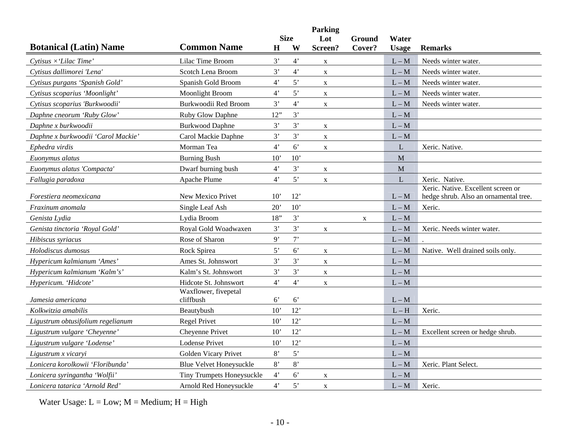|                                    |                                  |             |                | Parking     |        |              |                                       |
|------------------------------------|----------------------------------|-------------|----------------|-------------|--------|--------------|---------------------------------------|
|                                    | <b>Common Name</b>               |             | <b>Size</b>    | Lot         | Ground | Water        |                                       |
| <b>Botanical (Latin) Name</b>      |                                  | H           | W              | Screen?     | Cover? | <b>Usage</b> | <b>Remarks</b>                        |
| Cytisus $\times$ 'Lilac Time'      | Lilac Time Broom                 | 3'          | 4'             | $\mathbf X$ |        | $L - M$      | Needs winter water.                   |
| Cytisus dallimorei 'Lena'          | Scotch Lena Broom                | 3'          | $4^{\circ}$    | $\mathbf X$ |        | $L - M$      | Needs winter water.                   |
| Cytisus purgans 'Spanish Gold'     | Spanish Gold Broom               | 4'          | 5'             | $\mathbf X$ |        | $L - M$      | Needs winter water.                   |
| Cytisus scoparius 'Moonlight'      | <b>Moonlight Broom</b>           | $4^{\circ}$ | 5'             | $\mathbf X$ |        | $L - M$      | Needs winter water.                   |
| Cytisus scoparius 'Burkwoodii'     | Burkwoodii Red Broom             | 3'          | $4^{\circ}$    | $\mathbf X$ |        | $L - M$      | Needs winter water.                   |
| Daphne cneorum 'Ruby Glow'         | Ruby Glow Daphne                 | 12"         | 3'             |             |        | $L - M$      |                                       |
| Daphne x burkwoodii                | <b>Burkwood Daphne</b>           | 3'          | 3'             | $\mathbf X$ |        | $L - M$      |                                       |
| Daphne x burkwoodii 'Carol Mackie' | Carol Mackie Daphne              | 3'          | $3'$           | X           |        | $L - M$      |                                       |
| Ephedra virdis                     | Morman Tea                       | 4'          | 6'             | X           |        | L            | Xeric. Native.                        |
| Euonymus alatus                    | <b>Burning Bush</b>              | 10'         | 10'            |             |        | $\mathbf{M}$ |                                       |
| Euonymus alatus 'Compacta'         | Dwarf burning bush               | 4'          | 3'             | $\mathbf X$ |        | M            |                                       |
| Fallugia paradoxa                  | Apache Plume                     | 4'          | 5'             | $\mathbf X$ |        | L            | Xeric. Native.                        |
|                                    |                                  |             |                |             |        |              | Xeric. Native. Excellent screen or    |
| Forestiera neomexicana             | New Mexico Privet                | 10'         | 12'            |             |        | $L - M$      | hedge shrub. Also an ornamental tree. |
| Fraxinum anomala                   | Single Leaf Ash                  | 20'         | 10'            |             |        | $L - M$      | Xeric.                                |
| Genista Lydia                      | Lydia Broom                      | 18"         | 3'             |             | X      | $L - M$      |                                       |
| Genista tinctoria 'Roval Gold'     | Royal Gold Woadwaxen             | 3'          | 3'             | $\mathbf X$ |        | $L - M$      | Xeric. Needs winter water.            |
| Hibiscus syriacus                  | Rose of Sharon                   | 9'          | $7$ '          |             |        | $L - M$      |                                       |
| Holodiscus dumosus                 | Rock Spirea                      | 5'          | $6^{\circ}$    | $\mathbf X$ |        | $L - M$      | Native. Well drained soils only.      |
| Hypericum kalmianum 'Ames'         | Ames St. Johnswort               | 3'          | 3'             | $\mathbf X$ |        | $L - M$      |                                       |
| Hypericum kalmianum 'Kalm's'       | Kalm's St. Johnswort             | 3'          | 3'             | $\mathbf X$ |        | $L - M$      |                                       |
| Hypericum. 'Hidcote'               | Hidcote St. Johnswort            | 4'          | $4^{\circ}$    | $\mathbf X$ |        | $L - M$      |                                       |
|                                    | Waxflower, fivepetal             |             |                |             |        |              |                                       |
| Jamesia americana                  | cliffbush                        | $6^{\circ}$ | 6'             |             |        | $L - M$      |                                       |
| Kolkwitzia amabilis                | Beautybush                       | 10'         | 12'            |             |        | $L - H$      | Xeric.                                |
| Ligustrum obtusifolium regelianum  | <b>Regel Privet</b>              | 10'         | 12'            |             |        | $L - M$      |                                       |
| Ligustrum vulgare 'Cheyenne'       | Cheyenne Privet                  | 10'         | 12'            |             |        | $L - M$      | Excellent screen or hedge shrub.      |
| Ligustrum vulgare 'Lodense'        | <b>Lodense Privet</b>            | 10'         | 12'            |             |        | $L - M$      |                                       |
| Ligustrum x vicaryi                | Golden Vicary Privet             | 8'          | 5'             |             |        | $L - M$      |                                       |
| Lonicera korolkowii 'Floribunda'   | <b>Blue Velvet Honeysuckle</b>   | 8'          | $8^\circ$      |             |        | $L - M$      | Xeric. Plant Select.                  |
| Lonicera syringantha 'Wolfii'      | <b>Tiny Trumpets Honeysuckle</b> | 4'          | 6 <sup>o</sup> | $\mathbf X$ |        | $L - M$      |                                       |
| Lonicera tatarica 'Arnold Red'     | Arnold Red Honeysuckle           | 4'          | 5'             | $\mathbf X$ |        | $L - M$      | Xeric.                                |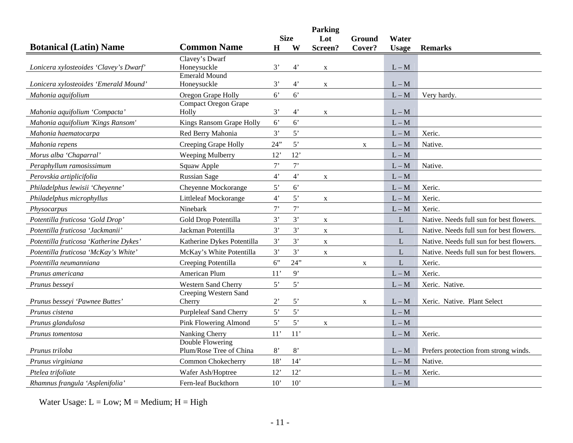|                                        |                                             |                |             | <b>Parking</b> |              |              |                                          |
|----------------------------------------|---------------------------------------------|----------------|-------------|----------------|--------------|--------------|------------------------------------------|
|                                        |                                             |                | <b>Size</b> | Lot            | Ground       | Water        |                                          |
| <b>Botanical (Latin) Name</b>          | <b>Common Name</b>                          | H              | W           | Screen?        | Cover?       | <b>Usage</b> | <b>Remarks</b>                           |
| Lonicera xylosteoides 'Clavey's Dwarf' | Clavey's Dwarf<br>Honeysuckle               | 3'             | $4^{\circ}$ | $\mathbf X$    |              | $L - M$      |                                          |
| Lonicera xylosteoides 'Emerald Mound'  | <b>Emerald Mound</b><br>Honeysuckle         | 3'             | $4^{\circ}$ | $\mathbf X$    |              | $L - M$      |                                          |
| Mahonia aquifolium                     | Oregon Grape Holly                          | 6 <sup>o</sup> | 6'          |                |              | $L - M$      | Very hardy.                              |
| Mahonia aquifolium 'Compacta'          | <b>Compact Oregon Grape</b><br>Holly        | 3'             | $4^{\circ}$ | $\mathbf X$    |              | $L - M$      |                                          |
| Mahonia aquifolium 'Kings Ransom'      | Kings Ransom Grape Holly                    | $6^{\circ}$    | 6'          |                |              | $L - M$      |                                          |
| Mahonia haematocarpa                   | Red Berry Mahonia                           | 3'             | 5'          |                |              | $L - M$      | Xeric.                                   |
| Mahonia repens                         | Creeping Grape Holly                        | 24"            | 5'          |                | X            | $L - M$      | Native.                                  |
| Morus alba 'Chaparral'                 | Weeping Mulberry                            | 12'            | 12'         |                |              | $L - M$      |                                          |
| Peraphyllum ramosissimum               | Squaw Apple                                 | $7$ '          | $7$ '       |                |              | $L - M$      | Native.                                  |
| Perovskia artiplicifolia               | <b>Russian Sage</b>                         | $4^{\circ}$    | $4^{\circ}$ | $\mathbf{X}$   |              | $L - M$      |                                          |
| Philadelphus lewisii 'Cheyenne'        | Cheyenne Mockorange                         | 5'             | 6'          |                |              | $L - M$      | Xeric.                                   |
| Philadelphus microphyllus              | Littleleaf Mockorange                       | 4 <sup>2</sup> | 5'          | $\mathbf{X}$   |              | $L - M$      | Xeric.                                   |
| Physocarpus                            | Ninebark                                    | 7              | $7$ '       |                |              | $L - M$      | Xeric.                                   |
| Potentilla fruticosa 'Gold Drop'       | Gold Drop Potentilla                        | 3'             | 3'          | $\mathbf X$    |              | L            | Native. Needs full sun for best flowers. |
| Potentilla fruticosa 'Jackmanii        | Jackman Potentilla                          | 3'             | 3'          | $\mathbf X$    |              | L            | Native. Needs full sun for best flowers. |
| Potentilla fruticosa 'Katherine Dykes' | Katherine Dykes Potentilla                  | 3'             | 3'          | $\mathbf X$    |              | L            | Native. Needs full sun for best flowers. |
| Potentilla fruticosa 'McKay's White'   | McKay's White Potentilla                    | 3'             | 3'          | $\mathbf{X}$   |              | L            | Native. Needs full sun for best flowers. |
| Potentilla neumanniana                 | Creeping Potentilla                         | 6"             | 24"         |                | $\mathbf X$  | L            | Xeric.                                   |
| Prunus americana                       | American Plum                               | 11'            | 9'          |                |              | $L - M$      | Xeric.                                   |
| Prunus besseyi                         | <b>Western Sand Cherry</b>                  | 5'             | 5'          |                |              | $L - M$      | Xeric. Native.                           |
| Prunus bessevi 'Pawnee Buttes'         | Creeping Western Sand<br>Cherry             | $2^{\prime}$   | 5'          |                | $\mathbf{X}$ | $L - M$      | Xeric. Native. Plant Select              |
| Prunus cistena                         | <b>Purpleleaf Sand Cherry</b>               | 5'             | 5'          |                |              | $L - M$      |                                          |
| Prunus glandulosa                      | <b>Pink Flowering Almond</b>                | 5'             | 5'          | $\mathbf X$    |              | $L - M$      |                                          |
| Prunus tomentosa                       | Nanking Cherry                              | 11'            | 11'         |                |              | $L - M$      | Xeric.                                   |
| Prunus triloba                         | Double Flowering<br>Plum/Rose Tree of China | 8'             | 8'          |                |              | $L - M$      | Prefers protection from strong winds.    |
| Prunus virginiana                      | Common Chokecherry                          | 18'            | 14'         |                |              | $L - M$      | Native.                                  |
| Ptelea trifoliate                      | Wafer Ash/Hoptree                           | 12'            | 12'         |                |              | $L - M$      | Xeric.                                   |
| Rhamnus frangula 'Asplenifolia'        | Fern-leaf Buckthorn                         | 10'            | 10'         |                |              | $L - M$      |                                          |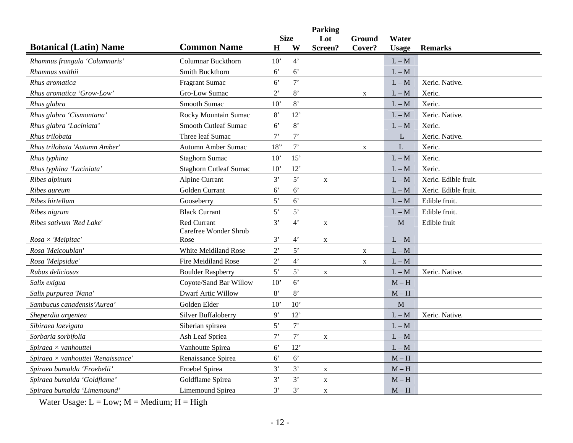|                                    |                               |                  |                | <b>Parking</b>            |             |              |                      |
|------------------------------------|-------------------------------|------------------|----------------|---------------------------|-------------|--------------|----------------------|
|                                    |                               |                  | <b>Size</b>    | Lot                       | Ground      | Water        |                      |
| <b>Botanical (Latin) Name</b>      | <b>Common Name</b>            | $\bf H$          | W              | Screen?                   | Cover?      | <b>Usage</b> | <b>Remarks</b>       |
| Rhamnus frangula 'Columnaris'      | <b>Columnar Buckthorn</b>     | 10'              | $4^{\circ}$    |                           |             | $L - M$      |                      |
| Rhamnus smithii                    | <b>Smith Buckthorn</b>        | $6^{\circ}$      | 6'             |                           |             | $L - M$      |                      |
| Rhus aromatica                     | <b>Fragrant Sumac</b>         | $6^{\circ}$      | 7              |                           |             | $L - M$      | Xeric. Native.       |
| Rhus aromatica 'Grow-Low'          | Gro-Low Sumac                 | $2$ '            | 8'             |                           | $\mathbf X$ | $L - M$      | Xeric.               |
| Rhus glabra                        | Smooth Sumac                  | 10'              | 8'             |                           |             | $L - M$      | Xeric.               |
| Rhus glabra 'Cismontana'           | Rocky Mountain Sumac          | 8'               | 12'            |                           |             | $L - M$      | Xeric. Native.       |
| Rhus glabra 'Laciniata'            | <b>Smooth Cutleaf Sumac</b>   | $6^{\circ}$      | 8'             |                           |             | $L - M$      | Xeric.               |
| Rhus trilobata                     | Three leaf Sumac              | $7$ '            | 7'             |                           |             | L            | Xeric. Native.       |
| Rhus trilobata 'Autumn Amber'      | Autumn Amber Sumac            | 18"              | 7'             |                           | $\mathbf X$ | L            | Xeric.               |
| Rhus typhina                       | <b>Staghorn Sumac</b>         | 10'              | 15'            |                           |             | $L - M$      | Xeric.               |
| Rhus typhina 'Laciniata'           | <b>Staghorn Cutleaf Sumac</b> | 10'              | 12'            |                           |             | $L - M$      | Xeric.               |
| Ribes alpinum                      | Alpine Currant                | 3'               | 5'             | X                         |             | $L - M$      | Xeric. Edible fruit. |
| Ribes aureum                       | Golden Currant                | $6^{\circ}$      | $6^{\circ}$    |                           |             | $L - M$      | Xeric. Edible fruit. |
| Ribes hirtellum                    | Gooseberry                    | 5'               | 6 <sup>o</sup> |                           |             | $L - M$      | Edible fruit.        |
| Ribes nigrum                       | <b>Black Currant</b>          | 5'               | 5'             |                           |             | $L - M$      | Edible fruit.        |
| Ribes sativum 'Red Lake'           | Red Currant                   | 3'               | $4^{\circ}$    | $\boldsymbol{\mathrm{X}}$ |             | M            | Edible fruit         |
|                                    | Carefree Wonder Shrub         |                  |                |                           |             |              |                      |
| $Rosa \times' Meipitac'$           | Rose                          | 3'               | 4'             | $\mathbf X$               |             | $L - M$      |                      |
| Rosa 'Meicoublan'                  | White Meidiland Rose          | $2$ <sup>'</sup> | 5'             |                           | $\mathbf X$ | $L - M$      |                      |
| Rosa 'Meipsidue'                   | Fire Meidiland Rose           | $2$ <sup>,</sup> | $4^{\circ}$    |                           | X           | $L - M$      |                      |
| Rubus deliciosus                   | <b>Boulder Raspberry</b>      | 5'               | 5'             | $\mathbf X$               |             | $L - M$      | Xeric. Native.       |
| Salix exigua                       | Coyote/Sand Bar Willow        | 10'              | $6^{\circ}$    |                           |             | $M - H$      |                      |
| Salix purpurea 'Nana'              | <b>Dwarf Artic Willow</b>     | 8'               | 8'             |                           |             | $M - H$      |                      |
| Sambucus canadensis'Aurea          | Golden Elder                  | 10'              | 10'            |                           |             | M            |                      |
| Sheperdia argentea                 | <b>Silver Buffaloberry</b>    | 9'               | 12'            |                           |             | $L - M$      | Xeric. Native.       |
| Sibiraea laevigata                 | Siberian spiraea              | 5'               | $7$ '          |                           |             | $L - M$      |                      |
| Sorbaria sorbifolia                | Ash Leaf Spriea               | 7'               | $7$ '          | $\mathbf X$               |             | $L - M$      |                      |
| Spiraea $\times$ vanhouttei        | Vanhoutte Spirea              | $6^{\circ}$      | 12'            |                           |             | $L - M$      |                      |
| Spiraea × vanhouttei 'Renaissance' | Renaissance Spirea            | 6 <sup>o</sup>   | $6^{\circ}$    |                           |             | $M - H$      |                      |
| Spiraea bumalda 'Froebelii'        | Froebel Spirea                | 3'               | 3'             | $\mathbf X$               |             | $M - H$      |                      |
| Spiraea bumalda 'Goldflame'        | Goldflame Spirea              | 3'               | 3'             | X                         |             | $M-H$        |                      |
| Spiraea bumalda 'Limemound'        | Limemound Spirea              | 3'               | 3'             | $\mathbf X$               |             | $M - H$      |                      |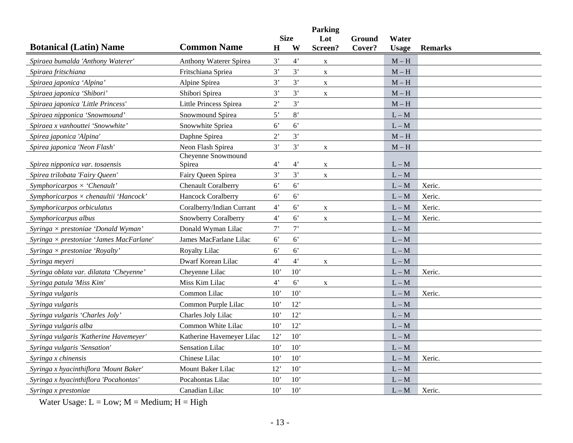|                                                |                               |                |                  | <b>Parking</b> |                  |                       |                |
|------------------------------------------------|-------------------------------|----------------|------------------|----------------|------------------|-----------------------|----------------|
| <b>Botanical (Latin) Name</b>                  | <b>Common Name</b>            | $\bf H$        | <b>Size</b><br>W | Lot<br>Screen? | Ground<br>Cover? | Water<br><b>Usage</b> | <b>Remarks</b> |
| Spiraea bumalda 'Anthony Waterer'              | <b>Anthony Waterer Spirea</b> | 3'             | 4 <sup>2</sup>   | $\mathbf X$    |                  | $M - H$               |                |
| Spiraea fritschiana                            | Fritschiana Spriea            | 3'             | 3'               | $\mathbf X$    |                  | $M - H$               |                |
| Spiraea japonica 'Alpina'                      | Alpine Spirea                 | 3'             | 3'               | $\mathbf X$    |                  | $M - H$               |                |
| Spiraea japonica 'Shibori'                     | Shibori Spirea                | 3'             | 3'               | $\mathbf X$    |                  | $M - H$               |                |
| Spiraea japonica 'Little Princess'             | <b>Little Princess Spirea</b> | 2'             | 3'               |                |                  | $M - H$               |                |
| Spiraea nipponica 'Snowmound'                  | Snowmound Spirea              | 5'             | 8'               |                |                  | $L - M$               |                |
| Spiraea x vanhouttei 'Snowwhite'               | Snowwhite Spriea              | 6'             | $6^{\circ}$      |                |                  | $L - M$               |                |
| Spirea japonica 'Alpina'                       | Daphne Spirea                 | $2^{\circ}$    | 3'               |                |                  | $M-H$                 |                |
| Spirea japonica 'Neon Flash'                   | Neon Flash Spirea             | 3'             | 3'               | $\mathbf X$    |                  | $M - H$               |                |
| Spirea nipponica var. tosaensis                | Cheyenne Snowmound<br>Spirea  | $4^{\circ}$    | $4^{\circ}$      | $\mathbf X$    |                  | $L - M$               |                |
| Spirea trilobata 'Fairy Queen'                 | Fairy Queen Spirea            | 3'             | 3'               | $\mathbf{X}$   |                  | $L - M$               |                |
| Symphoricarpos $\times$ 'Chenault'             | <b>Chenault Coralberry</b>    | 6 <sup>o</sup> | 6'               |                |                  | $L - M$               | Xeric.         |
| Symphoricarpos $\times$ chenaultii 'Hancock'   | Hancock Coralberry            | 6'             | 6'               |                |                  | $L - M$               | Xeric.         |
| Symphoricarpos orbiculatus                     | Coralberry/Indian Currant     | $4^{\circ}$    | $6^{\circ}$      | $\mathbf X$    |                  | $L - M$               | Xeric.         |
| Symphoricarpus albus                           | <b>Snowberry Coralberry</b>   | 4'             | $6^{\circ}$      | $\mathbf X$    |                  | $L - M$               | Xeric.         |
| Syringa $\times$ prestoniae 'Donald Wyman      | Donald Wyman Lilac            | $7^,$          | 7                |                |                  | $L - M$               |                |
| Syringa $\times$ prestoniae 'James MacFarlane' | James MacFarlane Lilac        | $6^{\circ}$    | 6'               |                |                  | $L - M$               |                |
| Syringa $\times$ prestoniae 'Royalty'          | Royalty Lilac                 | 6 <sup>7</sup> | 6 <sup>7</sup>   |                |                  | $L - M$               |                |
| Syringa meyeri                                 | Dwarf Korean Lilac            | $4^{\circ}$    | $4^{\circ}$      | $\mathbf X$    |                  | $L - M$               |                |
| Syringa oblata var. dilatata 'Cheyenne'        | Cheyenne Lilac                | 10'            | 10'              |                |                  | $L - M$               | Xeric.         |
| Syringa patula 'Miss Kim'                      | Miss Kim Lilac                | 4'             | $6^{\circ}$      | $\mathbf X$    |                  | $L - M$               |                |
| Syringa vulgaris                               | Common Lilac                  | 10'            | 10'              |                |                  | $L - M$               | Xeric.         |
| Syringa vulgaris                               | Common Purple Lilac           | 10'            | 12'              |                |                  | $L - M$               |                |
| Syringa vulgaris 'Charles Joly'                | Charles Joly Lilac            | 10'            | 12'              |                |                  | $L - M$               |                |
| Syringa vulgaris alba                          | Common White Lilac            | 10'            | 12'              |                |                  | $L - M$               |                |
| Syringa vulgaris 'Katherine Havemeyer'         | Katherine Havemeyer Lilac     | 12'            | 10'              |                |                  | $L - M$               |                |
| Syringa vulgaris 'Sensation'                   | <b>Sensation Lilac</b>        | 10'            | 10'              |                |                  | $L - M$               |                |
| Syringa x chinensis                            | Chinese Lilac                 | 10'            | 10'              |                |                  | $L - M$               | Xeric.         |
| Syringa x hyacinthiflora 'Mount Baker'         | Mount Baker Lilac             | 12'            | 10'              |                |                  | $L - M$               |                |
| Syringa x hyacinthiflora 'Pocahontas'          | Pocahontas Lilac              | 10'            | 10'              |                |                  | $L - M$               |                |
| Syringa x prestoniae                           | Canadian Lilac                | 10'            | 10'              |                |                  | $L - M$               | Xeric.         |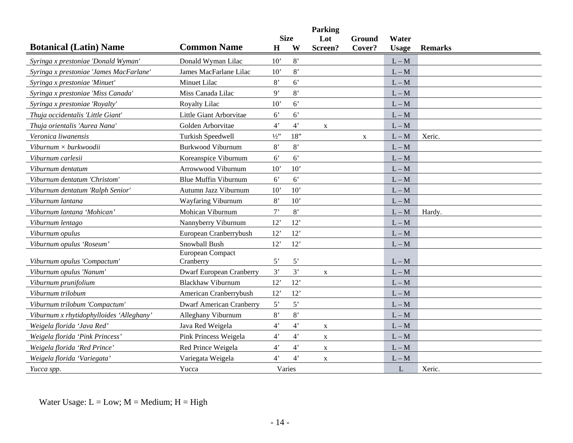|                                          |                                 |                |                | <b>Parking</b> |             |              |                |
|------------------------------------------|---------------------------------|----------------|----------------|----------------|-------------|--------------|----------------|
|                                          |                                 |                | <b>Size</b>    | Lot            | Ground      | Water        |                |
| <b>Botanical (Latin) Name</b>            | <b>Common Name</b>              | $\mathbf H$    | W              | Screen?        | Cover?      | <b>Usage</b> | <b>Remarks</b> |
| Syringa x prestoniae 'Donald Wyman'      | Donald Wyman Lilac              | 10'            | 8'             |                |             | $L - M$      |                |
| Syringa x prestoniae 'James MacFarlane'  | James MacFarlane Lilac          | 10'            | 8'             |                |             | $L - M$      |                |
| Syringa x prestoniae 'Minuet'            | Minuet Lilac                    | 8'             | 6 <sup>o</sup> |                |             | $L - M$      |                |
| Syringa x prestoniae 'Miss Canada'       | Miss Canada Lilac               | 9'             | 8'             |                |             | $L - M$      |                |
| Syringa x prestoniae 'Royalty'           | <b>Royalty Lilac</b>            | 10'            | $6^{\circ}$    |                |             | $L - M$      |                |
| Thuja occidentalis 'Little Giant'        | Little Giant Arborvitae         | 6 <sup>o</sup> | $6^{\circ}$    |                |             | $L - M$      |                |
| Thuja orientalis 'Aurea Nana'            | Golden Arborvitae               | $4^"$          | $4^{\circ}$    | $\mathbf{X}$   |             | $L - M$      |                |
| Veronica liwanensis                      | <b>Turkish Speedwell</b>        | $1/2$ "        | 18"            |                | $\mathbf X$ | $L - M$      | Xeric.         |
| Viburnum $\times$ burkwoodii             | <b>Burkwood Viburnum</b>        | 8'             | 8'             |                |             | $L - M$      |                |
| Viburnum carlesii                        | Koreanspice Viburnum            | 6 <sup>7</sup> | $6^{\circ}$    |                |             | $L - M$      |                |
| Viburnum dentatum                        | Arrowwood Viburnum              | 10'            | 10'            |                |             | $L - M$      |                |
| Viburnum dentatum 'Christom'             | <b>Blue Muffin Viburnum</b>     | $6^{\circ}$    | 6 <sup>o</sup> |                |             | $L - M$      |                |
| Viburnum dentatum 'Ralph Senior'         | Autumn Jazz Viburnum            | 10'            | 10'            |                |             | $L - M$      |                |
| Viburnum lantana                         | Wayfaring Viburnum              | 8'             | 10'            |                |             | $L - M$      |                |
| Viburnum lantana 'Mohican'               | Mohican Viburnum                | $7^,$          | 8'             |                |             | $L - M$      | Hardy.         |
| Viburnum lentago                         | Nannyberry Viburnum             | 12'            | 12'            |                |             | $L - M$      |                |
| Viburnum opulus                          | European Cranberrybush          | 12'            | 12'            |                |             | $L - M$      |                |
| Viburnum opulus 'Roseum'                 | Snowball Bush                   | 12'            | 12'            |                |             | $L - M$      |                |
| Viburnum opulus 'Compactum'              | European Compact<br>Cranberry   | $5^{\circ}$    | $5^{\circ}$    |                |             | $L - M$      |                |
| Viburnum opulus 'Nanum'                  | <b>Dwarf European Cranberry</b> | 3'             | 3'             | X              |             | $L - M$      |                |
| Viburnum prunifolium                     | <b>Blackhaw Viburnum</b>        | 12'            | 12'            |                |             | $L - M$      |                |
| Viburnum trilobum                        | American Cranberrybush          | 12'            | 12'            |                |             | $L - M$      |                |
| Viburnum trilobum 'Compactum'            | <b>Dwarf American Cranberry</b> | 5'             | 5'             |                |             | $L - M$      |                |
| Viburnum x rhytidophylloides 'Alleghany' | Alleghany Viburnum              | 8'             | $8^\circ$      |                |             | $L - M$      |                |
| Weigela florida 'Java Red'               | Java Red Weigela                | $4^{\circ}$    | $4^{\circ}$    | $\mathbf X$    |             | $L - M$      |                |
| Weigela florida 'Pink Princess'          | Pink Princess Weigela           | $4^{\circ}$    | $4^"$          | $\mathbf X$    |             | $L - M$      |                |
| Weigela florida 'Red Prince'             | Red Prince Weigela              | $4^{\circ}$    | $4^{\circ}$    | $\mathbf X$    |             | $L - M$      |                |
| Weigela florida 'Variegata'              | Variegata Weigela               | 4'             | $4^"$          | X              |             | $L - M$      |                |
| Yucca spp.                               | Yucca                           |                | Varies         |                |             | L            | Xeric.         |
|                                          |                                 |                |                |                |             |              |                |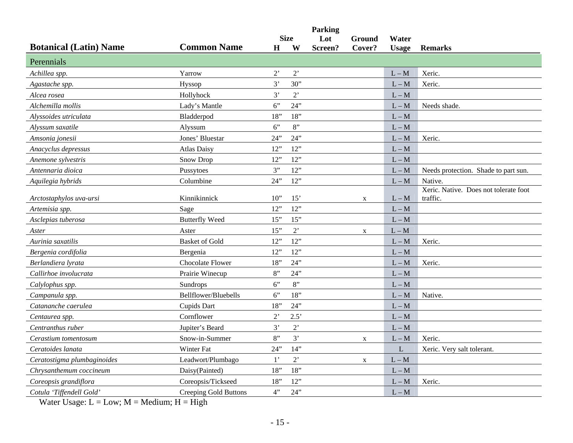|                               |                       |                  |                  | <b>Parking</b> |                  |                       |                                       |
|-------------------------------|-----------------------|------------------|------------------|----------------|------------------|-----------------------|---------------------------------------|
| <b>Botanical (Latin) Name</b> | <b>Common Name</b>    | H                | <b>Size</b><br>W | Lot<br>Screen? | Ground<br>Cover? | Water<br><b>Usage</b> | <b>Remarks</b>                        |
| Perennials                    |                       |                  |                  |                |                  |                       |                                       |
| Achillea spp.                 | Yarrow                | $2$ <sup>'</sup> | $2^{\circ}$      |                |                  | $L - M$               | Xeric.                                |
| Agastache spp.                | Hyssop                | 3'               | 30"              |                |                  | $L - M$               | Xeric.                                |
| Alcea rosea                   | Hollyhock             | 3'               | $2$ <sup>'</sup> |                |                  | $L - M$               |                                       |
| Alchemilla mollis             | Lady's Mantle         | 6"               | 24"              |                |                  | $L - M$               | Needs shade.                          |
| Alyssoides utriculata         | Bladderpod            | 18"              | 18"              |                |                  | $L - M$               |                                       |
| Alyssum saxatile              | Alyssum               | 6"               | 8"               |                |                  | $L - M$               |                                       |
| Amsonia jonesii               | Jones' Bluestar       | 24"              | 24"              |                |                  | $L - M$               | Xeric.                                |
| Anacyclus depressus           | <b>Atlas Daisy</b>    | 12"              | 12"              |                |                  | $L - M$               |                                       |
| Anemone sylvestris            | <b>Snow Drop</b>      | 12"              | 12"              |                |                  | $L - M$               |                                       |
| Antennaria dioica             | Pussytoes             | 3"               | 12"              |                |                  | $L - M$               | Needs protection. Shade to part sun.  |
| Aquilegia hybrids             | Columbine             | 24"              | 12"              |                |                  | $L - M$               | Native.                               |
|                               |                       |                  |                  |                |                  |                       | Xeric. Native. Does not tolerate foot |
| Arctostaphylos uva-ursi       | Kinnikinnick          | 10"              | 15'              |                | X                | $L - M$               | traffic.                              |
| Artemisia spp.                | Sage                  | 12"              | 12"              |                |                  | $L - M$               |                                       |
| Asclepias tuberosa            | <b>Butterfly Weed</b> | 15"              | 15"              |                |                  | $L - M$               |                                       |
| Aster                         | Aster                 | 15"              | $2^{\circ}$      |                | $\mathbf X$      | $L - M$               |                                       |
| Aurinia saxatilis             | <b>Basket of Gold</b> | 12"              | 12"              |                |                  | $L - M$               | Xeric.                                |
| Bergenia cordifolia           | Bergenia              | 12"              | 12"              |                |                  | $L - M$               |                                       |
| Berlandiera Ivrata            | Chocolate Flower      | 18"              | 24"              |                |                  | $L - M$               | Xeric.                                |
| Callirhoe involucrata         | Prairie Winecup       | 8"               | 24"              |                |                  | $L - M$               |                                       |
| Calylophus spp.               | Sundrops              | 6"               | 8"               |                |                  | $L - M$               |                                       |
| Campanula spp.                | Bellflower/Bluebells  | 6"               | 18"              |                |                  | $L - M$               | Native.                               |
| Catananche caerulea           | Cupids Dart           | 18"              | 24"              |                |                  | $L - M$               |                                       |
| Centaurea spp.                | Cornflower            | $2^{\circ}$      | 2.5'             |                |                  | $L - M$               |                                       |
| Centranthus ruber             | Jupiter's Beard       | 3'               | $2$ <sup>'</sup> |                |                  | $L - M$               |                                       |
| Cerastium tomentosum          | Snow-in-Summer        | 8"               | 3'               |                | $\mathbf{X}$     | $L - M$               | Xeric.                                |
| Ceratoides lanata             | Winter Fat            | 24"              | 14"              |                |                  | $\mathbf L$           | Xeric. Very salt tolerant.            |
| Ceratostigma plumbaginoides   | Leadwort/Plumbago     | $1$ '            | $2$ <sup>'</sup> |                | $\mathbf X$      | $L - M$               |                                       |
| Chrysanthemum coccineum       | Daisy(Painted)        | 18"              | 18"              |                |                  | $L - M$               |                                       |
| Coreopsis grandiflora         | Coreopsis/Tickseed    | 18"              | 12"              |                |                  | $L - M$               | Xeric.                                |
| Cotula 'Tiffendell Gold'      | Creeping Gold Buttons | 4"               | 24"              |                |                  | $L - M$               |                                       |
|                               |                       |                  |                  |                |                  |                       |                                       |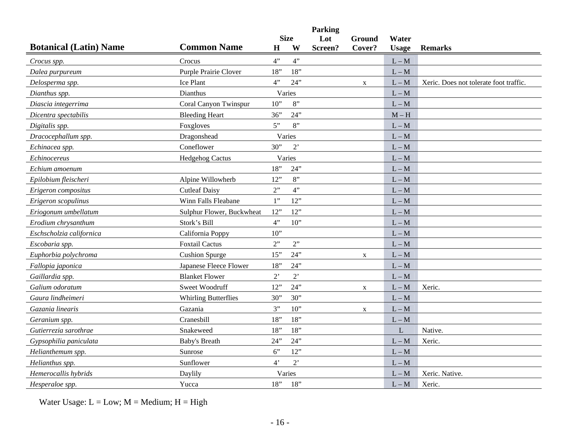|                               |                             |                |                  | <b>Parking</b> |                  |                       |                                        |
|-------------------------------|-----------------------------|----------------|------------------|----------------|------------------|-----------------------|----------------------------------------|
| <b>Botanical (Latin) Name</b> | <b>Common Name</b>          | $\mathbf H$    | <b>Size</b><br>W | Lot<br>Screen? | Ground<br>Cover? | Water<br><b>Usage</b> | <b>Remarks</b>                         |
| Crocus spp.                   | Crocus                      | 4"             | 4"               |                |                  | $L - M$               |                                        |
| Dalea purpureum               | Purple Prairie Clover       | 18"            | 18"              |                |                  | $L - M$               |                                        |
| Delosperma spp.               | Ice Plant                   | 4"             | 24"              |                | $\mathbf X$      | $L - M$               | Xeric. Does not tolerate foot traffic. |
| Dianthus spp.                 | Dianthus                    |                | Varies           |                |                  | $L - M$               |                                        |
| Diascia integerrima           | Coral Canyon Twinspur       | $10$ "         | 8"               |                |                  | $L - M$               |                                        |
| Dicentra spectabilis          | <b>Bleeding Heart</b>       | 36"            | 24"              |                |                  | $M - H$               |                                        |
| Digitalis spp.                | Foxgloves                   | 5"             | 8"               |                |                  | $L - M$               |                                        |
| Dracocephallum spp.           | Dragonshead                 |                | Varies           |                |                  | $L - M$               |                                        |
| Echinacea spp.                | Coneflower                  | 30"            | 2'               |                |                  | $L - M$               |                                        |
| Echinocereus                  | <b>Hedgehog Cactus</b>      |                | Varies           |                |                  | $L - M$               |                                        |
| Echium amoenum                |                             | 18"            | 24"              |                |                  | $L - M$               |                                        |
| Epilobium fleischeri          | Alpine Willowherb           | 12"            | 8"               |                |                  | $L - M$               |                                        |
| Erigeron compositus           | <b>Cutleaf Daisy</b>        | 2"             | 4"               |                |                  | $L - M$               |                                        |
| Erigeron scopulinus           | Winn Falls Fleabane         | 1"             | 12"              |                |                  | $L - M$               |                                        |
| Eriogonum umbellatum          | Sulphur Flower, Buckwheat   | 12"            | 12"              |                |                  | $L - M$               |                                        |
| Erodium chrysanthum           | Stork's Bill                | 4"             | 10"              |                |                  | $L - M$               |                                        |
| Eschscholzia californica      | California Poppy            | 10"            |                  |                |                  | $L - M$               |                                        |
| Escobaria spp.                | <b>Foxtail Cactus</b>       | 2"             | 2"               |                |                  | $L - M$               |                                        |
| Euphorbia polychroma          | <b>Cushion Spurge</b>       | 15"            | 24"              |                | $\mathbf X$      | $L - M$               |                                        |
| Fallopia japonica             | Japanese Fleece Flower      | 18"            | 24"              |                |                  | $L - M$               |                                        |
| Gaillardia spp.               | <b>Blanket Flower</b>       | $2^{\circ}$    | $2^{\circ}$      |                |                  | $L - M$               |                                        |
| Galium odoratum               | Sweet Woodruff              | 12"            | 24"              |                | X                | $L - M$               | Xeric.                                 |
| Gaura lindheimeri             | <b>Whirling Butterflies</b> | 30"            | 30"              |                |                  | $L - M$               |                                        |
| Gazania linearis              | Gazania                     | 3"             | 10"              |                | $\mathbf X$      | $L - M$               |                                        |
| Geranium spp.                 | Cranesbill                  | 18"            | 18"              |                |                  | $L - M$               |                                        |
| Gutierrezia sarothrae         | Snakeweed                   | 18"            | 18"              |                |                  | L                     | Native.                                |
| Gypsophilia paniculata        | <b>Baby's Breath</b>        | 24"            | 24"              |                |                  | $L - M$               | Xeric.                                 |
| Helianthemum spp.             | Sunrose                     | 6"             | 12"              |                |                  | $L - M$               |                                        |
| Helianthus spp.               | Sunflower                   | 4 <sup>2</sup> | $2^,$            |                |                  | $L - M$               |                                        |
| Hemerocallis hybrids          | Daylily                     |                | Varies           |                |                  | $L - M$               | Xeric. Native.                         |
| Hesperaloe spp.               | Yucca                       | 18"            | 18"              |                |                  | $L - M$               | Xeric.                                 |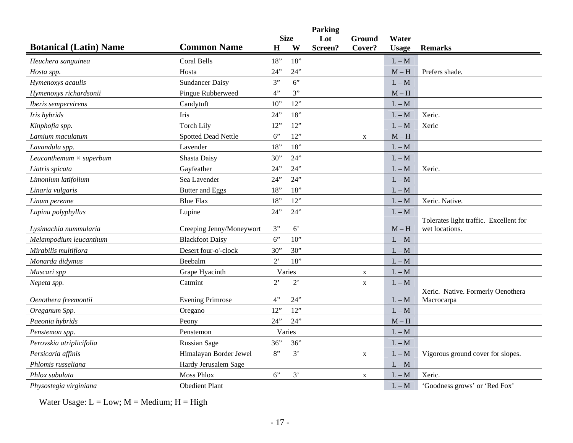| <b>Size</b><br>Lot<br>Ground<br>Water<br><b>Botanical (Latin) Name</b><br><b>Common Name</b><br>W<br>$\mathbf H$<br>Screen?<br>Cover?<br><b>Usage</b><br><b>Remarks</b><br>18"<br>18"<br>Coral Bells<br>$L - M$<br>Heuchera sanguinea<br>24"<br>Hosta<br>24"<br>$M - H$<br>Prefers shade.<br>Hosta spp.<br>6"<br><b>Sundancer Daisy</b><br>3"<br>Hymenoxys acaulis<br>$L - M$<br>3"<br>4"<br>Hymenoxys richardsonii<br>Pingue Rubberweed<br>$M - H$<br>12"<br>Candytuft<br>10"<br>$L - M$<br>Iberis sempervirens<br>18"<br>Iris<br>24"<br>Iris hybrids<br>$L - M$<br>Xeric.<br>12"<br>12"<br><b>Torch Lily</b><br>Xeric<br>Kinphofia spp.<br>$L - M$<br>12"<br>6"<br>Lamium maculatum<br><b>Spotted Dead Nettle</b><br>$M-H$<br>$\mathbf X$<br>18"<br>18"<br>Lavender<br>$L - M$<br>Lavandula spp.<br>24"<br>Shasta Daisy<br>30"<br>$L - M$<br>Leucanthemum $\times$ superbum<br>24"<br>Gayfeather<br>24"<br>Xeric.<br>$L - M$<br>Liatris spicata<br>24"<br>Sea Lavender<br>24"<br>$L - M$<br>Limonium latifolium |
|-------------------------------------------------------------------------------------------------------------------------------------------------------------------------------------------------------------------------------------------------------------------------------------------------------------------------------------------------------------------------------------------------------------------------------------------------------------------------------------------------------------------------------------------------------------------------------------------------------------------------------------------------------------------------------------------------------------------------------------------------------------------------------------------------------------------------------------------------------------------------------------------------------------------------------------------------------------------------------------------------------------------|
|                                                                                                                                                                                                                                                                                                                                                                                                                                                                                                                                                                                                                                                                                                                                                                                                                                                                                                                                                                                                                   |
|                                                                                                                                                                                                                                                                                                                                                                                                                                                                                                                                                                                                                                                                                                                                                                                                                                                                                                                                                                                                                   |
|                                                                                                                                                                                                                                                                                                                                                                                                                                                                                                                                                                                                                                                                                                                                                                                                                                                                                                                                                                                                                   |
|                                                                                                                                                                                                                                                                                                                                                                                                                                                                                                                                                                                                                                                                                                                                                                                                                                                                                                                                                                                                                   |
|                                                                                                                                                                                                                                                                                                                                                                                                                                                                                                                                                                                                                                                                                                                                                                                                                                                                                                                                                                                                                   |
|                                                                                                                                                                                                                                                                                                                                                                                                                                                                                                                                                                                                                                                                                                                                                                                                                                                                                                                                                                                                                   |
|                                                                                                                                                                                                                                                                                                                                                                                                                                                                                                                                                                                                                                                                                                                                                                                                                                                                                                                                                                                                                   |
|                                                                                                                                                                                                                                                                                                                                                                                                                                                                                                                                                                                                                                                                                                                                                                                                                                                                                                                                                                                                                   |
|                                                                                                                                                                                                                                                                                                                                                                                                                                                                                                                                                                                                                                                                                                                                                                                                                                                                                                                                                                                                                   |
|                                                                                                                                                                                                                                                                                                                                                                                                                                                                                                                                                                                                                                                                                                                                                                                                                                                                                                                                                                                                                   |
|                                                                                                                                                                                                                                                                                                                                                                                                                                                                                                                                                                                                                                                                                                                                                                                                                                                                                                                                                                                                                   |
|                                                                                                                                                                                                                                                                                                                                                                                                                                                                                                                                                                                                                                                                                                                                                                                                                                                                                                                                                                                                                   |
|                                                                                                                                                                                                                                                                                                                                                                                                                                                                                                                                                                                                                                                                                                                                                                                                                                                                                                                                                                                                                   |
|                                                                                                                                                                                                                                                                                                                                                                                                                                                                                                                                                                                                                                                                                                                                                                                                                                                                                                                                                                                                                   |
| 18"<br>Butter and Eggs<br>18"<br>Linaria vulgaris<br>$L - M$                                                                                                                                                                                                                                                                                                                                                                                                                                                                                                                                                                                                                                                                                                                                                                                                                                                                                                                                                      |
| 12"<br>18"<br>Xeric. Native.<br><b>Blue Flax</b><br>$L - M$<br>Linum perenne                                                                                                                                                                                                                                                                                                                                                                                                                                                                                                                                                                                                                                                                                                                                                                                                                                                                                                                                      |
| 24"<br>24"<br>$L - M$<br>Lupinu polyphyllus<br>Lupine                                                                                                                                                                                                                                                                                                                                                                                                                                                                                                                                                                                                                                                                                                                                                                                                                                                                                                                                                             |
| Tolerates light traffic. Excellent for                                                                                                                                                                                                                                                                                                                                                                                                                                                                                                                                                                                                                                                                                                                                                                                                                                                                                                                                                                            |
| Creeping Jenny/Moneywort<br>3"<br>$6^{\circ}$<br>$M - H$<br>wet locations.<br>Lysimachia nummularia                                                                                                                                                                                                                                                                                                                                                                                                                                                                                                                                                                                                                                                                                                                                                                                                                                                                                                               |
| 6"<br>Melampodium leucanthum<br><b>Blackfoot Daisy</b><br>$10$ "<br>$L - M$                                                                                                                                                                                                                                                                                                                                                                                                                                                                                                                                                                                                                                                                                                                                                                                                                                                                                                                                       |
| Desert four-o'-clock<br>30"<br>Mirabilis multiflora<br>30"<br>$L - M$                                                                                                                                                                                                                                                                                                                                                                                                                                                                                                                                                                                                                                                                                                                                                                                                                                                                                                                                             |
| 18"<br>Beebalm<br>$2^{\circ}$<br>$L - M$<br>Monarda didymus                                                                                                                                                                                                                                                                                                                                                                                                                                                                                                                                                                                                                                                                                                                                                                                                                                                                                                                                                       |
| Varies<br>Grape Hyacinth<br>Muscari spp<br>$L - M$<br>$\mathbf X$                                                                                                                                                                                                                                                                                                                                                                                                                                                                                                                                                                                                                                                                                                                                                                                                                                                                                                                                                 |
| $2$ <sup>,</sup><br>$2^{\circ}$<br>Catmint<br>$L - M$<br>Nepeta spp.<br>X                                                                                                                                                                                                                                                                                                                                                                                                                                                                                                                                                                                                                                                                                                                                                                                                                                                                                                                                         |
| Xeric. Native. Formerly Oenothera<br>4"<br>24"<br><b>Evening Primrose</b><br>Oenothera freemontii<br>$L - M$<br>Macrocarpa                                                                                                                                                                                                                                                                                                                                                                                                                                                                                                                                                                                                                                                                                                                                                                                                                                                                                        |
| 12"<br>12"<br>$L - M$<br>Oreganum Spp.<br>Oregano                                                                                                                                                                                                                                                                                                                                                                                                                                                                                                                                                                                                                                                                                                                                                                                                                                                                                                                                                                 |
| 24"<br>24"<br>Paeonia hybrids<br>$M - H$<br>Peony                                                                                                                                                                                                                                                                                                                                                                                                                                                                                                                                                                                                                                                                                                                                                                                                                                                                                                                                                                 |
| Varies<br>Penstemon<br>$L - M$<br>Penstemon spp.                                                                                                                                                                                                                                                                                                                                                                                                                                                                                                                                                                                                                                                                                                                                                                                                                                                                                                                                                                  |
| 36"<br>36"<br>Perovskia atriplicifolia<br><b>Russian Sage</b><br>$L - M$                                                                                                                                                                                                                                                                                                                                                                                                                                                                                                                                                                                                                                                                                                                                                                                                                                                                                                                                          |
| 8"<br>3'<br>Persicaria affinis<br>Himalayan Border Jewel<br>$L - M$<br>Vigorous ground cover for slopes.<br>$\mathbf X$                                                                                                                                                                                                                                                                                                                                                                                                                                                                                                                                                                                                                                                                                                                                                                                                                                                                                           |
| Phlomis russeliana<br>Hardy Jerusalem Sage<br>$L - M$                                                                                                                                                                                                                                                                                                                                                                                                                                                                                                                                                                                                                                                                                                                                                                                                                                                                                                                                                             |
| <b>Moss Phlox</b><br>6"<br>3'<br>Phlox subulata<br>Xeric.<br>$L - M$<br>X                                                                                                                                                                                                                                                                                                                                                                                                                                                                                                                                                                                                                                                                                                                                                                                                                                                                                                                                         |
| <b>Obedient Plant</b><br>Physostegia virginiana<br>$L - M$<br>'Goodness grows' or 'Red Fox'                                                                                                                                                                                                                                                                                                                                                                                                                                                                                                                                                                                                                                                                                                                                                                                                                                                                                                                       |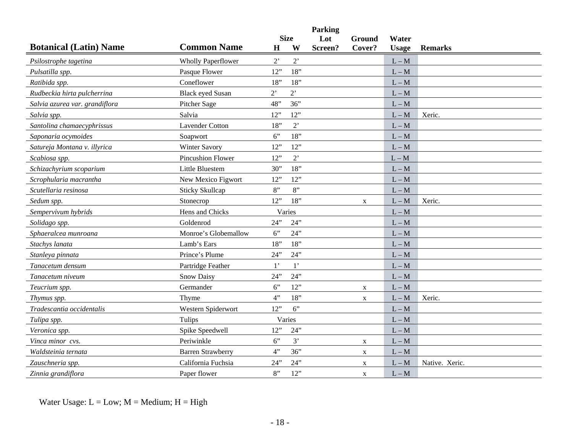|                                |                           |             |                  | <b>Parking</b> |             |              |                |
|--------------------------------|---------------------------|-------------|------------------|----------------|-------------|--------------|----------------|
|                                |                           |             | <b>Size</b>      | Lot            | Ground      | Water        |                |
| <b>Botanical (Latin) Name</b>  | <b>Common Name</b>        | $\mathbf H$ | W                | Screen?        | Cover?      | <b>Usage</b> | <b>Remarks</b> |
| Psilostrophe tagetina          | <b>Wholly Paperflower</b> | $2$ '       | $2^{\circ}$      |                |             | $L - M$      |                |
| Pulsatilla spp.                | Pasque Flower             | 12"         | 18"              |                |             | $L - M$      |                |
| Ratibida spp.                  | Coneflower                | 18"         | 18"              |                |             | $L - M$      |                |
| Rudbeckia hirta pulcherrina    | <b>Black eyed Susan</b>   | $2^{\circ}$ | $2^{\circ}$      |                |             | $L - M$      |                |
| Salvia azurea var. grandiflora | Pitcher Sage              | 48"         | 36"              |                |             | $L - M$      |                |
| Salvia spp.                    | Salvia                    | 12"         | 12"              |                |             | $L - M$      | Xeric.         |
| Santolina chamaecyphrissus     | <b>Lavender Cotton</b>    | 18"         | $2$ <sup>'</sup> |                |             | $L - M$      |                |
| Saponaria ocymoides            | Soapwort                  | 6"          | 18"              |                |             | $L - M$      |                |
| Satureja Montana v. illyrica   | Winter Savory             | 12"         | 12"              |                |             | $L - M$      |                |
| Scabiosa spp.                  | Pincushion Flower         | 12"         | $2^{\circ}$      |                |             | $L - M$      |                |
| Schizachyrium scoparium        | Little Bluestem           | 30"         | 18"              |                |             | $L - M$      |                |
| Scrophularia macrantha         | New Mexico Figwort        | 12"         | 12"              |                |             | $L - M$      |                |
| Scutellaria resinosa           | <b>Sticky Skullcap</b>    | 8"          | 8"               |                |             | $L - M$      |                |
| Sedum spp.                     | Stonecrop                 | 12"         | 18"              |                | X           | $L - M$      | Xeric.         |
| Sempervivum hybrids            | Hens and Chicks           |             | Varies           |                |             | $L - M$      |                |
| Solidago spp.                  | Goldenrod                 | 24"         | 24"              |                |             | $L - M$      |                |
| Sphaeralcea munroana           | Monroe's Globemallow      | 6"          | 24"              |                |             | $L - M$      |                |
| Stachys lanata                 | Lamb's Ears               | 18"         | 18"              |                |             | $L - M$      |                |
| Stanleya pinnata               | Prince's Plume            | 24"         | 24"              |                |             | $L - M$      |                |
| Tanacetum densum               | Partridge Feather         | $1^{\circ}$ | $1^{\circ}$      |                |             | $L - M$      |                |
| Tanacetum niveum               | <b>Snow Daisy</b>         | 24"         | 24"              |                |             | $L - M$      |                |
| Teucrium spp.                  | Germander                 | 6"          | 12"              |                | $\mathbf X$ | $L - M$      |                |
| Thymus spp.                    | Thyme                     | 4"          | 18"              |                | $\mathbf X$ | $L - M$      | Xeric.         |
| Tradescantia occidentalis      | Western Spiderwort        | 12"         | 6"               |                |             | $L - M$      |                |
| Tulipa spp.                    | Tulips                    |             | Varies           |                |             | $L - M$      |                |
| Veronica spp.                  | Spike Speedwell           | 12"         | 24"              |                |             | $L - M$      |                |
| Vinca minor cvs.               | Periwinkle                | 6"          | 3'               |                | $\mathbf X$ | $L - M$      |                |
| Waldsteinia ternata            | <b>Barren Strawberry</b>  | 4"          | 36"              |                | X           | $L - M$      |                |
| Zauschneria spp.               | California Fuchsia        | 24"         | 24"              |                | X           | $L - M$      | Native. Xeric. |
| Zinnia grandiflora             | Paper flower              | 8"          | 12"              |                | $\mathbf X$ | $L - M$      |                |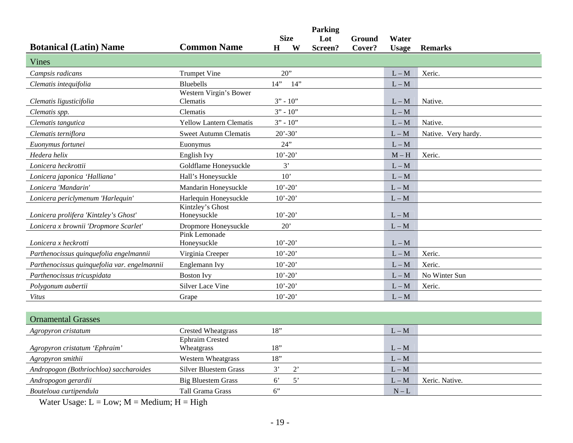|                                              |                                      |                       | <b>Parking</b> |                  |                       |                     |
|----------------------------------------------|--------------------------------------|-----------------------|----------------|------------------|-----------------------|---------------------|
| <b>Botanical (Latin) Name</b>                | <b>Common Name</b>                   | <b>Size</b><br>W<br>H | Lot<br>Screen? | Ground<br>Cover? | Water<br><b>Usage</b> | <b>Remarks</b>      |
| Vines                                        |                                      |                       |                |                  |                       |                     |
| Campsis radicans                             | <b>Trumpet Vine</b>                  | 20"                   |                |                  | $L - M$               | Xeric.              |
| Clematis intequifolia                        | Bluebells                            | 14"<br>14"            |                |                  | $L - M$               |                     |
| Clematis ligusticifolia                      | Western Virgin's Bower<br>Clematis   | $3" - 10"$            |                |                  | $L - M$               | Native.             |
| Clematis spp.                                | Clematis                             | $3" - 10"$            |                |                  | $L - M$               |                     |
| Clematis tangutica                           | <b>Yellow Lantern Clematis</b>       | $3" - 10"$            |                |                  | $L - M$               | Native.             |
| Clematis terniflora                          | <b>Sweet Autumn Clematis</b>         | $20' - 30'$           |                |                  | $L - M$               | Native. Very hardy. |
| Euonymus fortunei                            | Euonymus                             | 24"                   |                |                  | $L - M$               |                     |
| Hedera helix                                 | English Ivy                          | $10' - 20'$           |                |                  | $M - H$               | Xeric.              |
| Lonicera heckrottii                          | Goldflame Honeysuckle                | 3'                    |                |                  | $L - M$               |                     |
| Lonicera japonica 'Halliana'                 | Hall's Honeysuckle                   | 10'                   |                |                  | $L-M$                 |                     |
| Lonicera 'Mandarin'                          | Mandarin Honeysuckle                 | $10' - 20'$           |                |                  | $L - M$               |                     |
| Lonicera periclymenum 'Harlequin'            | Harlequin Honeysuckle                | $10' - 20'$           |                |                  | $L - M$               |                     |
| Lonicera prolifera 'Kintzley's Ghost'        | Kintzley's Ghost<br>Honeysuckle      | $10' - 20'$           |                |                  | $L - M$               |                     |
| Lonicera x brownii 'Dropmore Scarlet'        | Dropmore Honeysuckle                 | 20'                   |                |                  | $L - M$               |                     |
| Lonicera x heckrotti                         | Pink Lemonade<br>Honeysuckle         | $10' - 20'$           |                |                  | $L - M$               |                     |
| Parthenocissus quinquefolia engelmannii      | Virginia Creeper                     | $10' - 20'$           |                |                  | $L-M$                 | Xeric.              |
| Parthenocissus quinquefolia var. engelmannii | Englemann Ivy                        | $10' - 20'$           |                |                  | $L - M$               | Xeric.              |
| Parthenocissus tricuspidata                  | <b>Boston Ivy</b>                    | $10' - 20'$           |                |                  | $L - M$               | No Winter Sun       |
| Polygonum aubertii                           | Silver Lace Vine                     | $10' - 20'$           |                |                  | $L - M$               | Xeric.              |
| Vitus                                        | Grape                                | $10' - 20'$           |                |                  | $L - M$               |                     |
|                                              |                                      |                       |                |                  |                       |                     |
| <b>Ornamental Grasses</b>                    |                                      |                       |                |                  |                       |                     |
| Agropyron cristatum                          | <b>Crested Wheatgrass</b>            | 18"                   |                |                  | $L - M$               |                     |
| Agropyron cristatum 'Ephraim'                | <b>Ephraim Crested</b><br>Wheatgrass | 18"                   |                |                  | $L - M$               |                     |
| Agropyron smithii                            | <b>Western Wheatgrass</b>            | 18"                   |                |                  | $L - M$               |                     |
| Andropogon (Bothriochloa) saccharoides       | <b>Silver Bluestem Grass</b>         | $2$ '<br>3'           |                |                  | $L - M$               |                     |
| Andropogon gerardii                          | <b>Big Bluestem Grass</b>            | 5'<br>$6^{\circ}$     |                |                  | $L - M$               | Xeric. Native.      |
| Bouteloua curtipendula                       | Tall Grama Grass                     | 6"                    |                |                  | $N-L$                 |                     |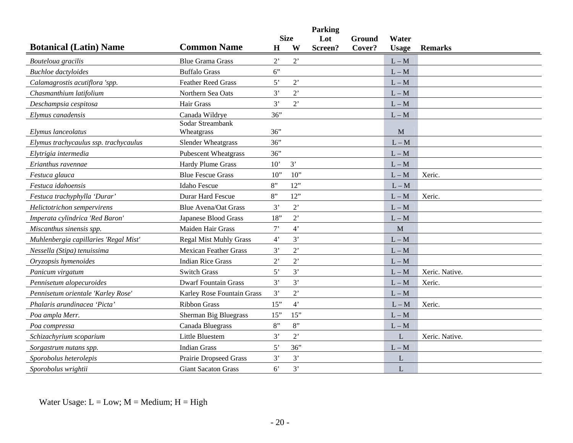|                                       |                                |                |                  | <b>Parking</b> |        |              |                |
|---------------------------------------|--------------------------------|----------------|------------------|----------------|--------|--------------|----------------|
| <b>Botanical (Latin) Name</b>         | <b>Common Name</b>             |                | <b>Size</b><br>W | Lot            | Ground | Water        |                |
|                                       |                                | $\bf H$        |                  | Screen?        | Cover? | <b>Usage</b> | <b>Remarks</b> |
| Bouteloua gracilis                    | <b>Blue Grama Grass</b>        | $2^{\circ}$    | $2^{\circ}$      |                |        | $L - M$      |                |
| <b>Buchloe</b> dactyloides            | <b>Buffalo Grass</b>           | 6"             |                  |                |        | $L - M$      |                |
| Calamagrostis acutiflora 'spp.        | <b>Feather Reed Grass</b>      | 5'             | $2$ <sup>'</sup> |                |        | $L - M$      |                |
| Chasmanthium latifolium               | Northern Sea Oats              | 3'             | $2^{\circ}$      |                |        | $L - M$      |                |
| Deschampsia cespitosa                 | Hair Grass                     | 3'             | 2'               |                |        | $L - M$      |                |
| Elymus canadensis                     | Canada Wildrye                 | 36"            |                  |                |        | $L - M$      |                |
| Elymus lanceolatus                    | Sodar Streambank<br>Wheatgrass | 36"            |                  |                |        | M            |                |
| Elymus trachycaulus ssp. trachycaulus | Slender Wheatgrass             | 36"            |                  |                |        | $L - M$      |                |
| Elytrigia intermedia                  | <b>Pubescent Wheatgrass</b>    | 36"            |                  |                |        | $L - M$      |                |
| Erianthus ravennae                    | Hardy Plume Grass              | 10'            | 3'               |                |        | $L - M$      |                |
| Festuca glauca                        | <b>Blue Fescue Grass</b>       | $10$ "         | $10$ "           |                |        | $L - M$      | Xeric.         |
| Festuca idahoensis                    | <b>Idaho Fescue</b>            | 8"             | 12"              |                |        | $L - M$      |                |
| Festuca trachyphylla 'Durar'          | <b>Durar Hard Fescue</b>       | 8"             | 12"              |                |        | $L - M$      | Xeric.         |
| Helictotrichon sempervirens           | <b>Blue Avena/Oat Grass</b>    | 3'             | $2^{\circ}$      |                |        | $L - M$      |                |
| Imperata cylindrica 'Red Baron'       | Japanese Blood Grass           | 18"            | 2                |                |        | $L - M$      |                |
| Miscanthus sinensis spp.              | Maiden Hair Grass              | $7$ '          | $4^{\circ}$      |                |        | $\mathbf{M}$ |                |
| Muhlenbergia capillaries 'Regal Mist' | <b>Regal Mist Muhly Grass</b>  | $4^{\circ}$    | 3'               |                |        | $L - M$      |                |
| Nessella (Stipa) tenuissima           | <b>Mexican Feather Grass</b>   | 3'             | $2$ <sup>,</sup> |                |        | $L - M$      |                |
| Oryzopsis hymenoides                  | <b>Indian Rice Grass</b>       | $2^{\circ}$    | $2$ <sup>'</sup> |                |        | $L - M$      |                |
| Panicum virgatum                      | <b>Switch Grass</b>            | 5'             | 3'               |                |        | $L - M$      | Xeric. Native. |
| Pennisetum alopecuroides              | <b>Dwarf Fountain Grass</b>    | 3'             | 3'               |                |        | $L - M$      | Xeric.         |
| Pennisetum orientale 'Karley Rose'    | Karley Rose Fountain Grass     | 3'             | $2$ <sup>'</sup> |                |        | $L - M$      |                |
| Phalaris arundinacea 'Picta'          | <b>Ribbon Grass</b>            | 15"            | $4^{\circ}$      |                |        | $L - M$      | Xeric.         |
| Poa ampla Merr.                       | Sherman Big Bluegrass          | 15"            | 15"              |                |        | $L - M$      |                |
| Poa compressa                         | Canada Bluegrass               | 8"             | 8"               |                |        | $L - M$      |                |
| Schizachyrium scoparium               | Little Bluestem                | 3'             | 2                |                |        | L            | Xeric. Native. |
| Sorgastrum nutans spp.                | <b>Indian Grass</b>            | 5'             | 36"              |                |        | $L - M$      |                |
| Sporobolus heterolepis                | <b>Prairie Dropseed Grass</b>  | 3'             | 3'               |                |        | L            |                |
| Sporobolus wrightii                   | <b>Giant Sacaton Grass</b>     | 6 <sup>o</sup> | 3'               |                |        | L            |                |